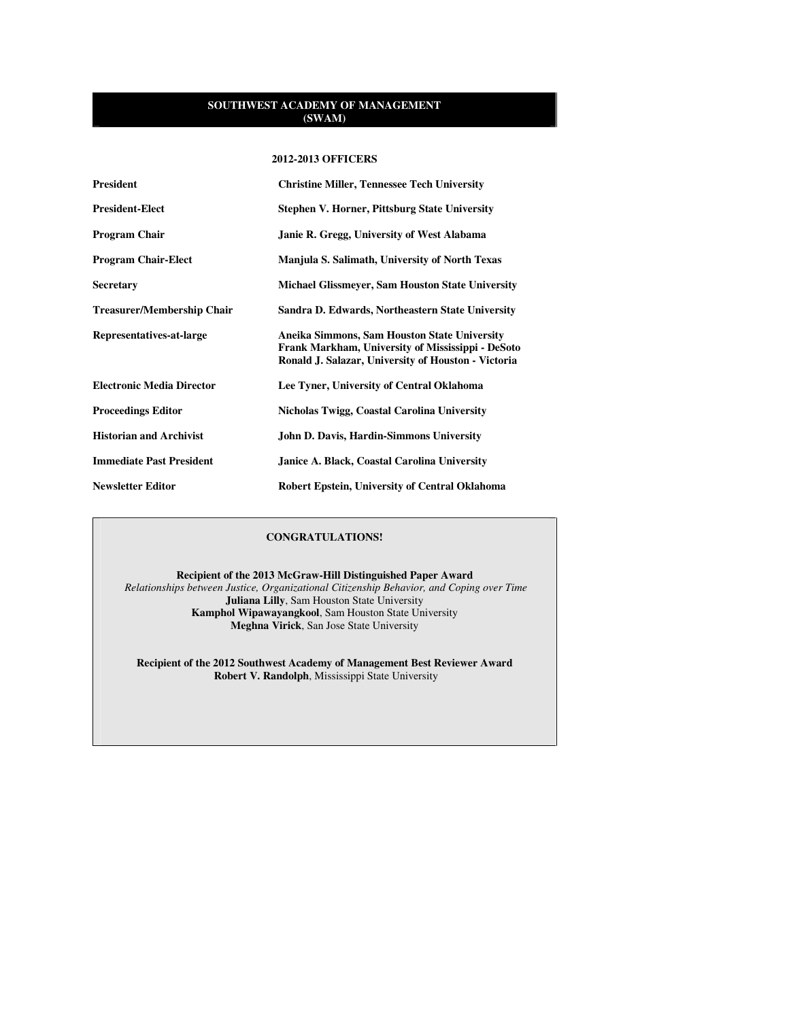#### **2012-2013 OFFICERS**

| <b>President</b>                  | <b>Christine Miller, Tennessee Tech University</b>                                                                                                       |
|-----------------------------------|----------------------------------------------------------------------------------------------------------------------------------------------------------|
| <b>President-Elect</b>            | <b>Stephen V. Horner, Pittsburg State University</b>                                                                                                     |
| <b>Program Chair</b>              | Janie R. Gregg, University of West Alabama                                                                                                               |
| <b>Program Chair-Elect</b>        | Manjula S. Salimath, University of North Texas                                                                                                           |
| <b>Secretary</b>                  | <b>Michael Glissmeyer, Sam Houston State University</b>                                                                                                  |
| <b>Treasurer/Membership Chair</b> | Sandra D. Edwards, Northeastern State University                                                                                                         |
| Representatives-at-large          | Aneika Simmons, Sam Houston State University<br>Frank Markham, University of Mississippi - DeSoto<br>Ronald J. Salazar, University of Houston - Victoria |
| <b>Electronic Media Director</b>  | Lee Tyner, University of Central Oklahoma                                                                                                                |
| <b>Proceedings Editor</b>         | Nicholas Twigg, Coastal Carolina University                                                                                                              |
| <b>Historian and Archivist</b>    | <b>John D. Davis, Hardin-Simmons University</b>                                                                                                          |
| <b>Immediate Past President</b>   | Janice A. Black, Coastal Carolina University                                                                                                             |
| <b>Newsletter Editor</b>          | Robert Epstein, University of Central Oklahoma                                                                                                           |

# **CONGRATULATIONS!**

**Recipient of the 2013 McGraw-Hill Distinguished Paper Award**   *Relationships between Justice, Organizational Citizenship Behavior, and Coping over Time*  **Juliana Lilly**, Sam Houston State University **Kamphol Wipawayangkool**, Sam Houston State University **Meghna Virick**, San Jose State University

**Recipient of the 2012 Southwest Academy of Management Best Reviewer Award Robert V. Randolph**, Mississippi State University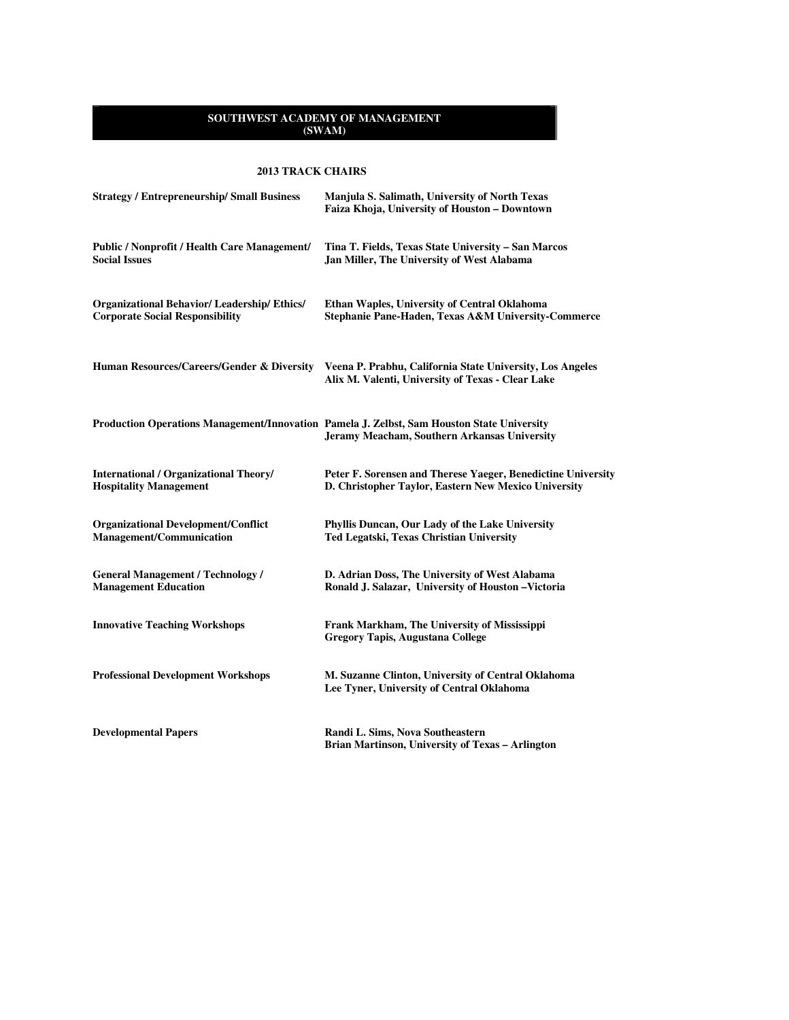# **2013 TRACK CHAIRS**

| <b>Strategy / Entrepreneurship/ Small Business</b>                                          | Manjula S. Salimath, University of North Texas<br>Faiza Khoja, University of Houston - Downtown                                            |
|---------------------------------------------------------------------------------------------|--------------------------------------------------------------------------------------------------------------------------------------------|
| <b>Public / Nonprofit / Health Care Management/</b><br><b>Social Issues</b>                 | Tina T. Fields, Texas State University - San Marcos<br>Jan Miller, The University of West Alabama                                          |
| <b>Organizational Behavior/Leadership/Ethics/</b><br><b>Corporate Social Responsibility</b> | Ethan Waples, University of Central Oklahoma<br>Stephanie Pane-Haden, Texas A&M University-Commerce                                        |
| Human Resources/Careers/Gender & Diversity                                                  | Veena P. Prabhu, California State University, Los Angeles<br>Alix M. Valenti, University of Texas - Clear Lake                             |
|                                                                                             | Production Operations Management/Innovation Pamela J. Zelbst, Sam Houston State University<br>Jeramy Meacham, Southern Arkansas University |
| <b>International / Organizational Theory/</b><br><b>Hospitality Management</b>              | Peter F. Sorensen and Therese Yaeger, Benedictine University<br>D. Christopher Taylor, Eastern New Mexico University                       |
| <b>Organizational Development/Conflict</b><br><b>Management/Communication</b>               | Phyllis Duncan, Our Lady of the Lake University<br>Ted Legatski, Texas Christian University                                                |
| <b>General Management / Technology /</b><br><b>Management Education</b>                     | D. Adrian Doss, The University of West Alabama<br>Ronald J. Salazar, University of Houston - Victoria                                      |
| <b>Innovative Teaching Workshops</b>                                                        | Frank Markham, The University of Mississippi<br>Gregory Tapis, Augustana College                                                           |
| <b>Professional Development Workshops</b>                                                   | M. Suzanne Clinton, University of Central Oklahoma<br>Lee Tyner, University of Central Oklahoma                                            |
| <b>Developmental Papers</b>                                                                 | Randi L. Sims, Nova Southeastern<br>Brian Martinson, University of Texas - Arlington                                                       |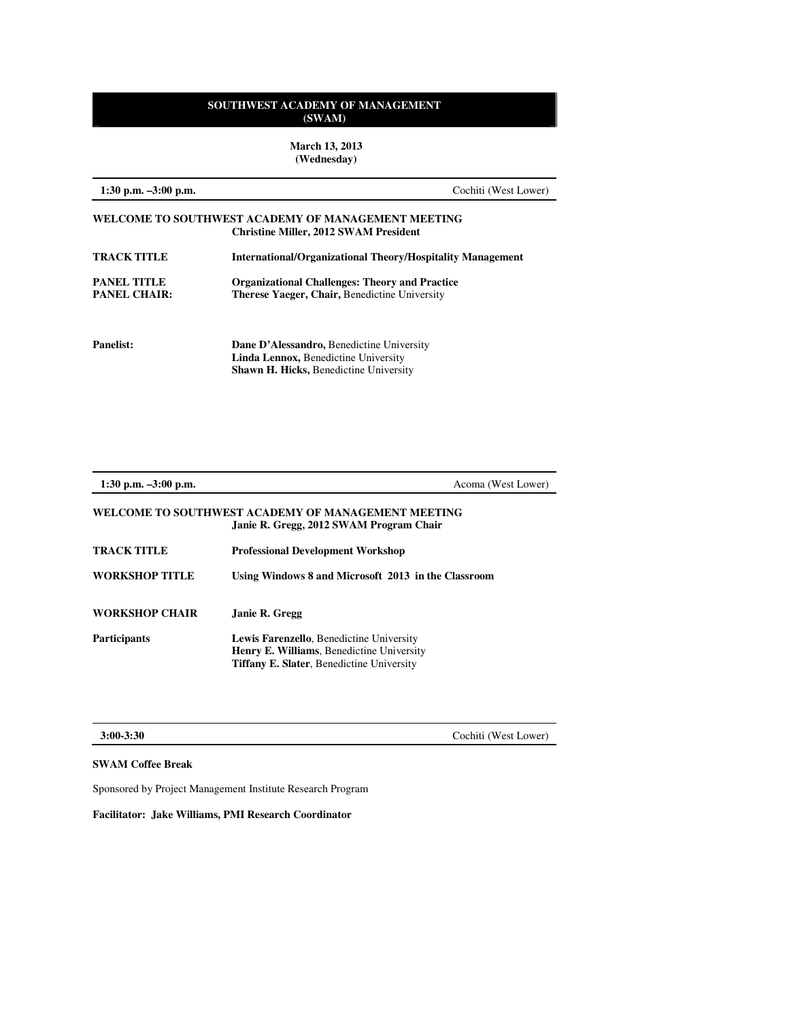**March 13, 2013 (Wednesday)** 

| 1:30 p.m. $-3:00$ p.m.                    |                                                                                                                                           | Cochiti (West Lower) |
|-------------------------------------------|-------------------------------------------------------------------------------------------------------------------------------------------|----------------------|
|                                           | WELCOME TO SOUTHWEST ACADEMY OF MANAGEMENT MEETING<br><b>Christine Miller, 2012 SWAM President</b>                                        |                      |
| <b>TRACK TITLE</b>                        | <b>International/Organizational Theory/Hospitality Management</b>                                                                         |                      |
| <b>PANEL TITLE</b><br><b>PANEL CHAIR:</b> | <b>Organizational Challenges: Theory and Practice</b><br><b>Therese Yaeger, Chair, Benedictine University</b>                             |                      |
| <b>Panelist:</b>                          | Dane D'Alessandro, Benedictine University<br><b>Linda Lennox, Benedictine University</b><br><b>Shawn H. Hicks, Benedictine University</b> |                      |

| 1:30 p.m. $-3:00$ p.m. | Acoma (West Lower)                                                                                                                                      |  |
|------------------------|---------------------------------------------------------------------------------------------------------------------------------------------------------|--|
|                        | WELCOME TO SOUTHWEST ACADEMY OF MANAGEMENT MEETING<br>Janie R. Gregg, 2012 SWAM Program Chair                                                           |  |
| <b>TRACK TITLE</b>     | <b>Professional Development Workshop</b>                                                                                                                |  |
| <b>WORKSHOP TITLE</b>  | Using Windows 8 and Microsoft 2013 in the Classroom                                                                                                     |  |
| <b>WORKSHOP CHAIR</b>  | Janie R. Gregg                                                                                                                                          |  |
| <b>Participants</b>    | <b>Lewis Farenzello, Benedictine University</b><br><b>Henry E. Williams, Benedictine University</b><br><b>Tiffany E. Slater, Benedictine University</b> |  |

**3:00-3:30** Cochiti (West Lower)

# **SWAM Coffee Break**

Sponsored by Project Management Institute Research Program

**Facilitator: Jake Williams, PMI Research Coordinator**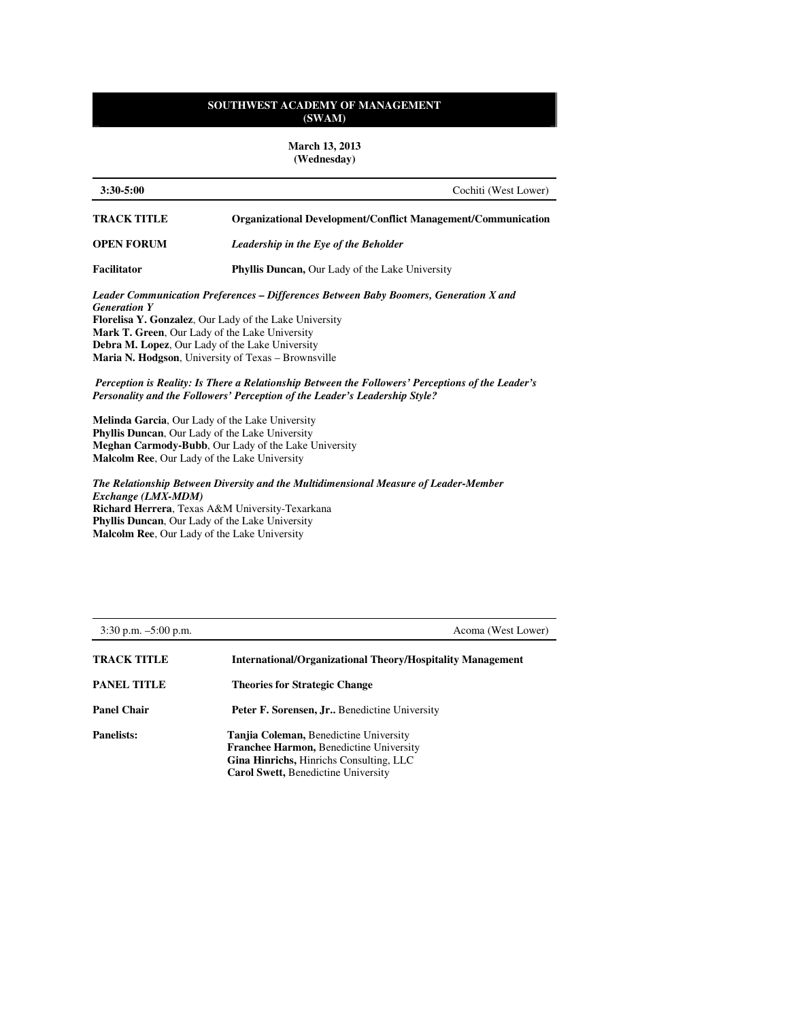**March 13, 2013 (Wednesday)**

| $3:30 - 5:00$       | Cochiti (West Lower)                                                                              |
|---------------------|---------------------------------------------------------------------------------------------------|
| <b>TRACK TITLE</b>  | <b>Organizational Development/Conflict Management/Communication</b>                               |
| <b>OPEN FORUM</b>   | Leadership in the Eye of the Beholder                                                             |
| Facilitator         | <b>Phyllis Duncan, Our Lady of the Lake University</b>                                            |
|                     | Leader Communication Preferences – Differences Between Baby Boomers, Generation X and             |
| <b>Generation Y</b> |                                                                                                   |
|                     | <b>Florelisa Y. Gonzalez.</b> Our Lady of the Lake University                                     |
|                     | <b>Mark T. Green, Our Lady of the Lake University</b>                                             |
|                     | <b>Debra M. Lopez.</b> Our Lady of the Lake University                                            |
|                     | <b>Maria N. Hodgson</b> , University of Texas – Brownsville                                       |
|                     | Perception is Reality: Is There a Relationship Between the Followers' Perceptions of the Leader's |
|                     | Personality and the Followers' Perception of the Leader's Leadership Style?                       |
|                     | <b>Melinda Garcia, Our Lady of the Lake University</b>                                            |
|                     | <b>Phyllic Duncan</b> Our Lady of the Lake University                                             |

**Phyllis Duncan**, Our Lady of the Lake University **Meghan Carmody-Bubb**, Our Lady of the Lake University **Malcolm Ree**, Our Lady of the Lake University

*The Relationship Between Diversity and the Multidimensional Measure of Leader-Member Exchange (LMX-MDM)*  **Richard Herrera**, Texas A&M University-Texarkana **Phyllis Duncan**, Our Lady of the Lake University **Malcolm Ree**, Our Lady of the Lake University

| $3:30$ p.m. $-5:00$ p.m. | Acoma (West Lower)                                                                                                                                                                       |
|--------------------------|------------------------------------------------------------------------------------------------------------------------------------------------------------------------------------------|
| <b>TRACK TITLE</b>       | <b>International/Organizational Theory/Hospitality Management</b>                                                                                                                        |
| <b>PANEL TITLE</b>       | <b>Theories for Strategic Change</b>                                                                                                                                                     |
| <b>Panel Chair</b>       | <b>Peter F. Sorensen, Jr., Benedictine University</b>                                                                                                                                    |
| <b>Panelists:</b>        | <b>Tanjia Coleman, Benedictine University</b><br><b>Franchee Harmon, Benedictine University</b><br>Gina Hinrichs, Hinrichs Consulting, LLC<br><b>Carol Swett, Benedictine University</b> |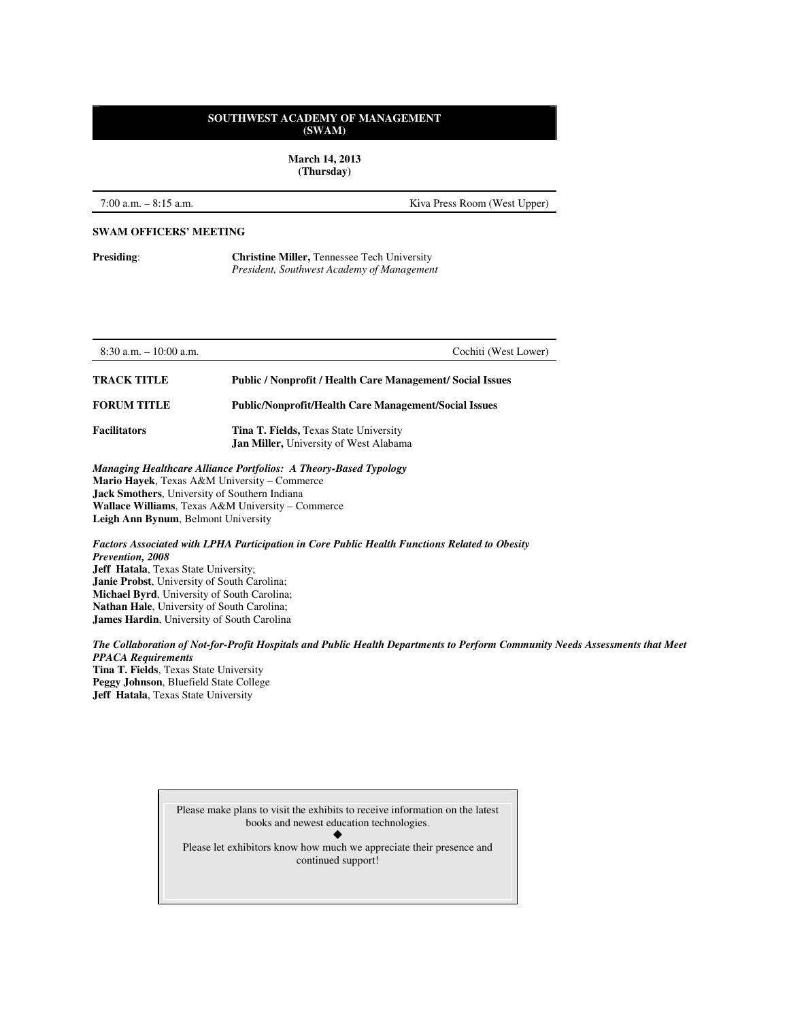**March 14, 2013 (Thursday)** 

7:00 a.m. – 8:15 a.m. Kiva Press Room (West Upper)

#### **SWAM OFFICERS' MEETING**

**Presiding: Christine Miller, Tennessee Tech University** *President, Southwest Academy of Management* 

8:30 a.m. – 10:00 a.m. Cochiti (West Lower) **TRACK TITLE Public / Nonprofit / Health Care Management/ Social Issues FORUM TITLE Public/Nonprofit/Health Care Management/Social Issues**  Facilitators Tina T. Fields, Texas State University **Jan Miller,** University of West Alabama *Managing Healthcare Alliance Portfolios: A Theory-Based Typology*  **Mario Hayek**, Texas A&M University – Commerce **Jack Smothers**, University of Southern Indiana

**Wallace Williams**, Texas A&M University – Commerce **Leigh Ann Bynum**, Belmont University

*Factors Associated with LPHA Participation in Core Public Health Functions Related to Obesity Prevention, 2008*  **Jeff Hatala**, Texas State University; **Janie Probst**, University of South Carolina; **Michael Byrd**, University of South Carolina; **Nathan Hale**, University of South Carolina; **James Hardin**, University of South Carolina

*The Collaboration of Not-for-Profit Hospitals and Public Health Departments to Perform Community Needs Assessments that Meet PPACA Requirements*  **Tina T. Fields**, Texas State University **Peggy Johnson**, Bluefield State College **Jeff Hatala**, Texas State University

| Please make plans to visit the exhibits to receive information on the latest |
|------------------------------------------------------------------------------|
| books and newest education technologies.                                     |
|                                                                              |
| Please let exhibitors know how much we appreciate their presence and         |
| continued support!                                                           |
|                                                                              |
|                                                                              |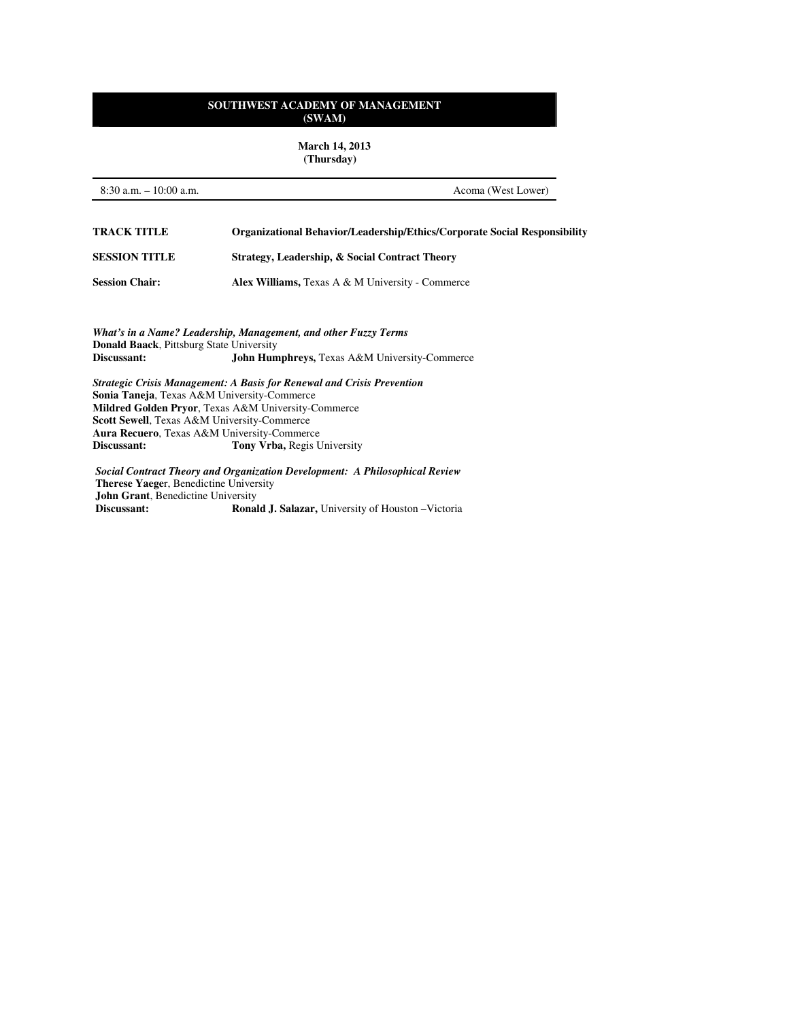**March 14, 2013 (Thursday)** 

8:30 a.m. – 10:00 a.m. Acoma (West Lower) **TRACK TITLE Organizational Behavior/Leadership/Ethics/Corporate Social Responsibility SESSION TITLE Strategy, Leadership, & Social Contract Theory Session Chair:** Alex Williams, Texas A & M University - Commerce

*What's in a Name? Leadership, Management, and other Fuzzy Terms*  **Donald Baack**, Pittsburg State University<br>**Discussant:** John Hun John Humphreys, Texas A&M University-Commerce

*Strategic Crisis Management: A Basis for Renewal and Crisis Prevention*  **Sonia Taneja**, Texas A&M University-Commerce **Mildred Golden Pryor**, Texas A&M University-Commerce **Scott Sewell**, Texas A&M University-Commerce **Aura Recuero**, Texas A&M University-Commerce Tony Vrba, Regis University

*Social Contract Theory and Organization Development: A Philosophical Review*  **Therese Yaege**r, Benedictine University **John Grant**, Benedictine University<br>Discussant: Rona **Ronald J. Salazar, University of Houston –Victoria**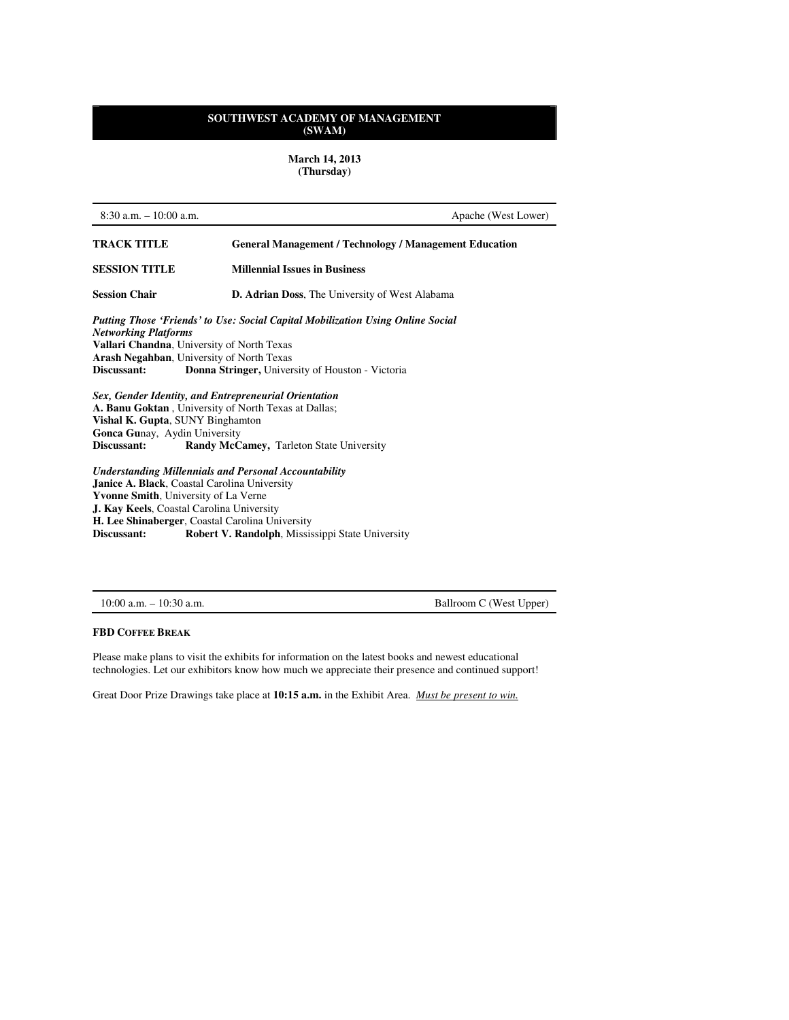**March 14, 2013 (Thursday)** 

| $8:30$ a.m. $-10:00$ a.m.                                                                                                                                                                                                                                                                  | Apache (West Lower)                                           |  |
|--------------------------------------------------------------------------------------------------------------------------------------------------------------------------------------------------------------------------------------------------------------------------------------------|---------------------------------------------------------------|--|
| TRACK TITLE                                                                                                                                                                                                                                                                                | <b>General Management / Technology / Management Education</b> |  |
| <b>SESSION TITLE</b>                                                                                                                                                                                                                                                                       | <b>Millennial Issues in Business</b>                          |  |
| <b>Session Chair</b>                                                                                                                                                                                                                                                                       | D. Adrian Doss, The University of West Alabama                |  |
| Putting Those 'Friends' to Use: Social Capital Mobilization Using Online Social<br><b>Networking Platforms</b><br>Vallari Chandna, University of North Texas<br><b>Arash Negahban, University of North Texas</b><br>Discussant:<br><b>Donna Stringer, University of Houston - Victoria</b> |                                                               |  |
| Sex, Gender Identity, and Entrepreneurial Orientation<br>A. Banu Goktan, University of North Texas at Dallas;<br>Vishal K. Gupta, SUNY Binghamton<br>Gonca Gunay, Aydin University<br>Discussant:                                                                                          | Randy McCamey, Tarleton State University                      |  |
| <b>Understanding Millennials and Personal Accountability</b><br><b>Janice A. Black, Coastal Carolina University</b><br><b>Yvonne Smith, University of La Verne</b><br><b>J. Kay Keels, Coastal Carolina University</b><br>II. Lee Chinahonaan, Caestel Constitue Huissanits                |                                                               |  |

**H. Lee Shinaberger, Coastal Carolina University<br>Discussant: Robert V. Randolph, Missis Robert V. Randolph**, Mississippi State University

| 10:00 a.m. | $10:30$ a.m. |  |
|------------|--------------|--|
|------------|--------------|--|

Ballroom C (West Upper)

# **FBD COFFEE BREAK**

Please make plans to visit the exhibits for information on the latest books and newest educational technologies. Let our exhibitors know how much we appreciate their presence and continued support!

Great Door Prize Drawings take place at **10:15 a.m.** in the Exhibit Area. *Must be present to win.*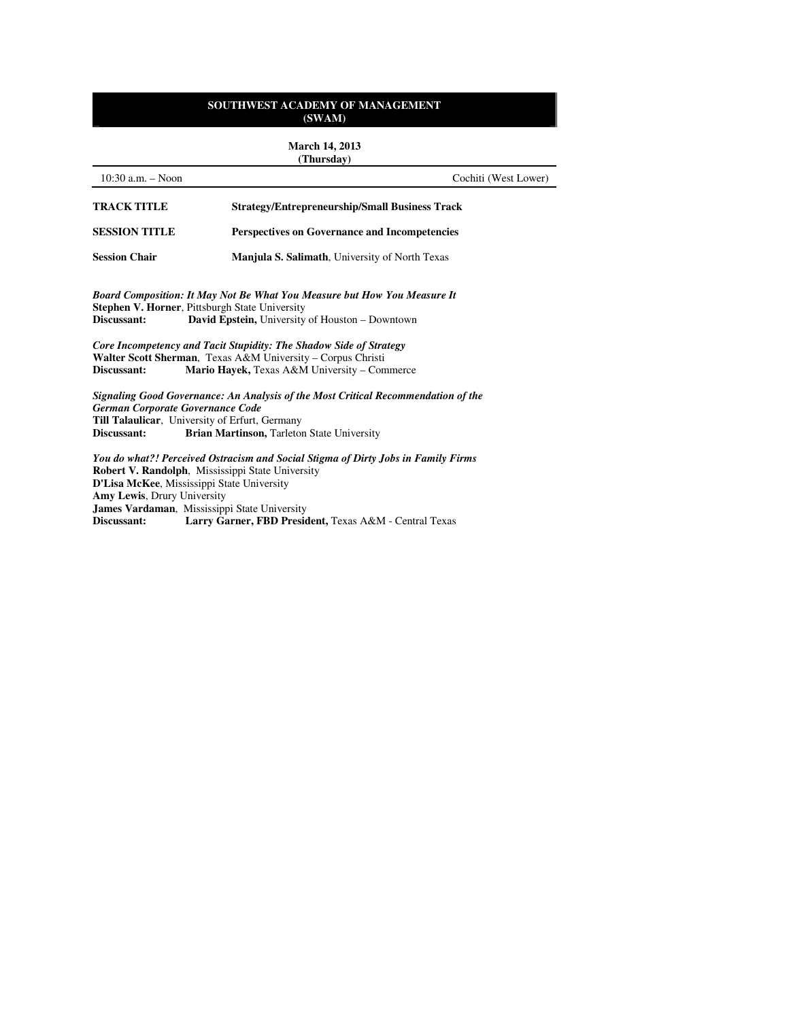**March 14, 2013 (Thursday)**

| $10:30$ a.m. $-$ Noon                                          | Cochiti (West Lower)                                                                                                                                                                                                                                                                                 |
|----------------------------------------------------------------|------------------------------------------------------------------------------------------------------------------------------------------------------------------------------------------------------------------------------------------------------------------------------------------------------|
| <b>TRACK TITLE</b>                                             | <b>Strategy/Entrepreneurship/Small Business Track</b>                                                                                                                                                                                                                                                |
| <b>SESSION TITLE</b>                                           | <b>Perspectives on Governance and Incompetencies</b>                                                                                                                                                                                                                                                 |
| <b>Session Chair</b>                                           | <b>Manjula S. Salimath, University of North Texas</b>                                                                                                                                                                                                                                                |
| Discussant:                                                    | <b>Board Composition: It May Not Be What You Measure but How You Measure It</b><br><b>Stephen V. Horner, Pittsburgh State University</b><br><b>David Epstein, University of Houston – Downtown</b>                                                                                                   |
|                                                                | Core Incompetency and Tacit Stupidity: The Shadow Side of Strategy<br>Walter Scott Sherman, Texas A&M University - Corpus Christi                                                                                                                                                                    |
| Discussant:<br>German Corporate Governance Code<br>Discussant: | Mario Hayek, Texas A&M University - Commerce<br>Signaling Good Governance: An Analysis of the Most Critical Recommendation of the<br><b>Till Talaulicar</b> , University of Erfurt, Germany<br>Brian Martinson, Tarleton State University                                                            |
| Amy Lewis, Drury University<br>Discussant:                     | You do what?! Perceived Ostracism and Social Stigma of Dirty Jobs in Family Firms<br><b>Robert V. Randolph, Mississippi State University</b><br>D'Lisa McKee, Mississippi State University<br>James Vardaman, Mississippi State University<br>Larry Garner, FBD President, Texas A&M - Central Texas |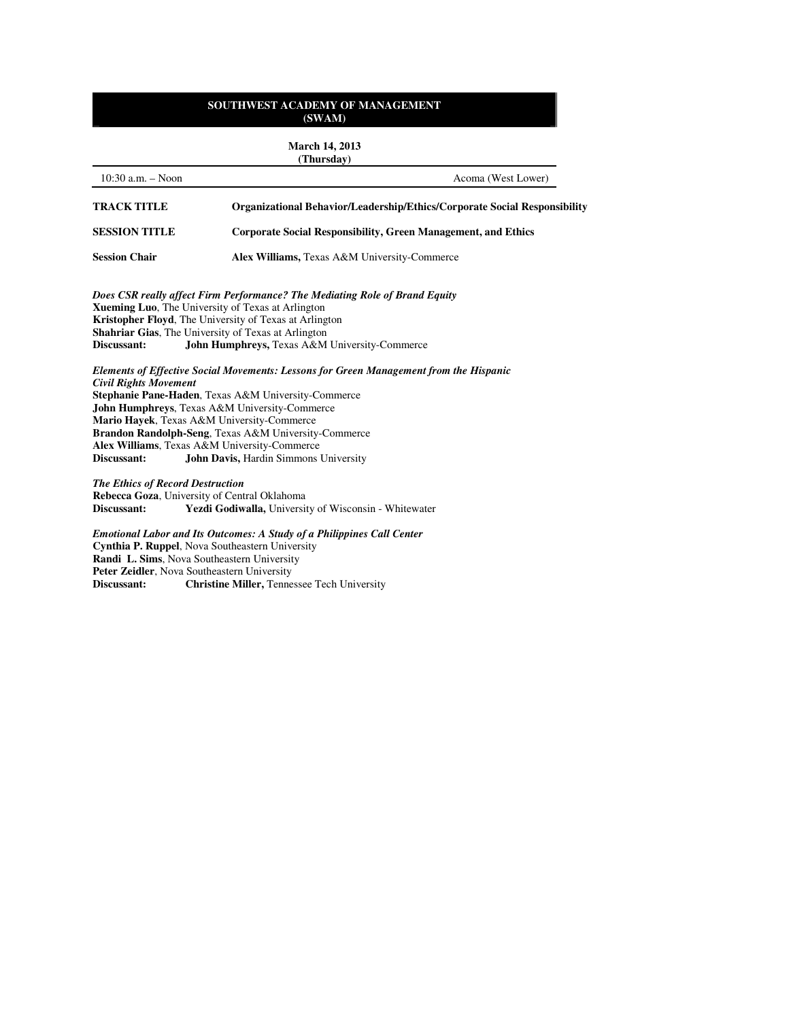#### **March 14, 2013 (Thursday)**

|                                                                                                                                                                                                                                                                                                                                                                                                                                                     | (Іншызнаў)                                                                                                                                                                                                                                                                                                                         |
|-----------------------------------------------------------------------------------------------------------------------------------------------------------------------------------------------------------------------------------------------------------------------------------------------------------------------------------------------------------------------------------------------------------------------------------------------------|------------------------------------------------------------------------------------------------------------------------------------------------------------------------------------------------------------------------------------------------------------------------------------------------------------------------------------|
| $10:30$ a.m. $-$ Noon                                                                                                                                                                                                                                                                                                                                                                                                                               | Acoma (West Lower)                                                                                                                                                                                                                                                                                                                 |
| <b>TRACK TITLE</b>                                                                                                                                                                                                                                                                                                                                                                                                                                  | <b>Organizational Behavior/Leadership/Ethics/Corporate Social Responsibility</b>                                                                                                                                                                                                                                                   |
| <b>SESSION TITLE</b>                                                                                                                                                                                                                                                                                                                                                                                                                                | <b>Corporate Social Responsibility, Green Management, and Ethics</b>                                                                                                                                                                                                                                                               |
| <b>Session Chair</b>                                                                                                                                                                                                                                                                                                                                                                                                                                | Alex Williams, Texas A&M University-Commerce                                                                                                                                                                                                                                                                                       |
| Discussant:                                                                                                                                                                                                                                                                                                                                                                                                                                         | Does CSR really affect Firm Performance? The Mediating Role of Brand Equity<br><b>Xueming Luo, The University of Texas at Arlington</b><br><b>Kristopher Floyd, The University of Texas at Arlington</b><br><b>Shahriar Gias, The University of Texas at Arlington</b><br><b>John Humphreys, Texas A&amp;M University-Commerce</b> |
| Elements of Effective Social Movements: Lessons for Green Management from the Hispanic<br><b>Civil Rights Movement</b><br>Stephanie Pane-Haden, Texas A&M University-Commerce<br>John Humphreys, Texas A&M University-Commerce<br>Mario Hayek, Texas A&M University-Commerce<br>Brandon Randolph-Seng, Texas A&M University-Commerce<br>Alex Williams, Texas A&M University-Commerce<br>Discussant:<br><b>John Davis, Hardin Simmons University</b> |                                                                                                                                                                                                                                                                                                                                    |

*The Ethics of Record Destruction*  **Rebecca Goza**, University of Central Oklahoma<br>Discussant: Yezdi Godiwalla, Universit Yezdi Godiwalla, University of Wisconsin - Whitewater

*Emotional Labor and Its Outcomes: A Study of a Philippines Call Center*  **Cynthia P. Ruppel**, Nova Southeastern University **Randi L. Sims**, Nova Southeastern University **Peter Zeidler**, Nova Southeastern University<br>Discussant: Christine Miller, Tennes **Christine Miller, Tennessee Tech University**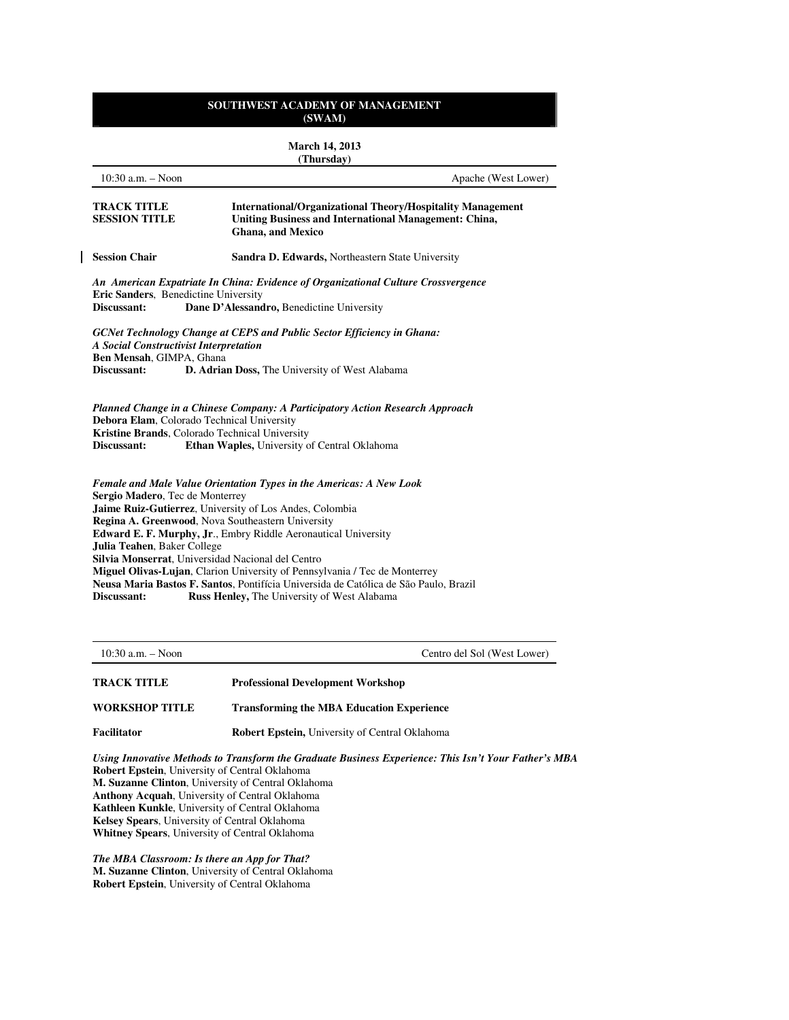#### **March 14, 2013 (Thursday)**

| $10:30$ a.m. $-$ Noon                                                                                                                                                                                                                                                                                                                                                                                                                                                                                                                                                                                                          | Apache (West Lower)                                                                                                                                            |  |
|--------------------------------------------------------------------------------------------------------------------------------------------------------------------------------------------------------------------------------------------------------------------------------------------------------------------------------------------------------------------------------------------------------------------------------------------------------------------------------------------------------------------------------------------------------------------------------------------------------------------------------|----------------------------------------------------------------------------------------------------------------------------------------------------------------|--|
| TRACK TITLE<br><b>SESSION TITLE</b>                                                                                                                                                                                                                                                                                                                                                                                                                                                                                                                                                                                            | <b>International/Organizational Theory/Hospitality Management</b><br><b>Uniting Business and International Management: China,</b><br><b>Ghana</b> , and Mexico |  |
| <b>Session Chair</b>                                                                                                                                                                                                                                                                                                                                                                                                                                                                                                                                                                                                           | Sandra D. Edwards, Northeastern State University                                                                                                               |  |
| Eric Sanders, Benedictine University<br>Discussant:                                                                                                                                                                                                                                                                                                                                                                                                                                                                                                                                                                            | An American Expatriate In China: Evidence of Organizational Culture Crossvergence<br>Dane D'Alessandro, Benedictine University                                 |  |
| <b>A Social Constructivist Interpretation</b><br>Ben Mensah, GIMPA, Ghana<br>Discussant:                                                                                                                                                                                                                                                                                                                                                                                                                                                                                                                                       | GCNet Technology Change at CEPS and Public Sector Efficiency in Ghana:<br>D. Adrian Doss, The University of West Alabama                                       |  |
| Debora Elam, Colorado Technical University<br>Kristine Brands, Colorado Technical University<br>Discussant:                                                                                                                                                                                                                                                                                                                                                                                                                                                                                                                    | Planned Change in a Chinese Company: A Participatory Action Research Approach<br>Ethan Waples, University of Central Oklahoma                                  |  |
| Female and Male Value Orientation Types in the Americas: A New Look<br>Sergio Madero, Tec de Monterrey<br>Jaime Ruiz-Gutierrez, University of Los Andes, Colombia<br>Regina A. Greenwood, Nova Southeastern University<br><b>Edward E. F. Murphy, Jr., Embry Riddle Aeronautical University</b><br>Julia Teahen, Baker College<br>Silvia Monserrat, Universidad Nacional del Centro<br>Miguel Olivas-Lujan, Clarion University of Pennsylvania / Tec de Monterrey<br>Neusa Maria Bastos F. Santos, Pontifícia Universida de Católica de São Paulo, Brazil<br>Discussant:<br><b>Russ Henley, The University of West Alabama</b> |                                                                                                                                                                |  |

 $\mathbf{I}$ 

10:30 a.m. – Noon Centro del Sol (West Lower)

**TRACK TITLE Professional Development Workshop WORKSHOP TITLE Transforming the MBA Education Experience** 

**Facilitator Robert Epstein,** University of Central Oklahoma

*Using Innovative Methods to Transform the Graduate Business Experience: This Isn't Your Father's MBA*  **Robert Epstein**, University of Central Oklahoma **M. Suzanne Clinton**, University of Central Oklahoma **Anthony Acquah**, University of Central Oklahoma **Kathleen Kunkle**, University of Central Oklahoma **Kelsey Spears**, University of Central Oklahoma **Whitney Spears**, University of Central Oklahoma

*The MBA Classroom: Is there an App for That?*  **M. Suzanne Clinton**, University of Central Oklahoma **Robert Epstein**, University of Central Oklahoma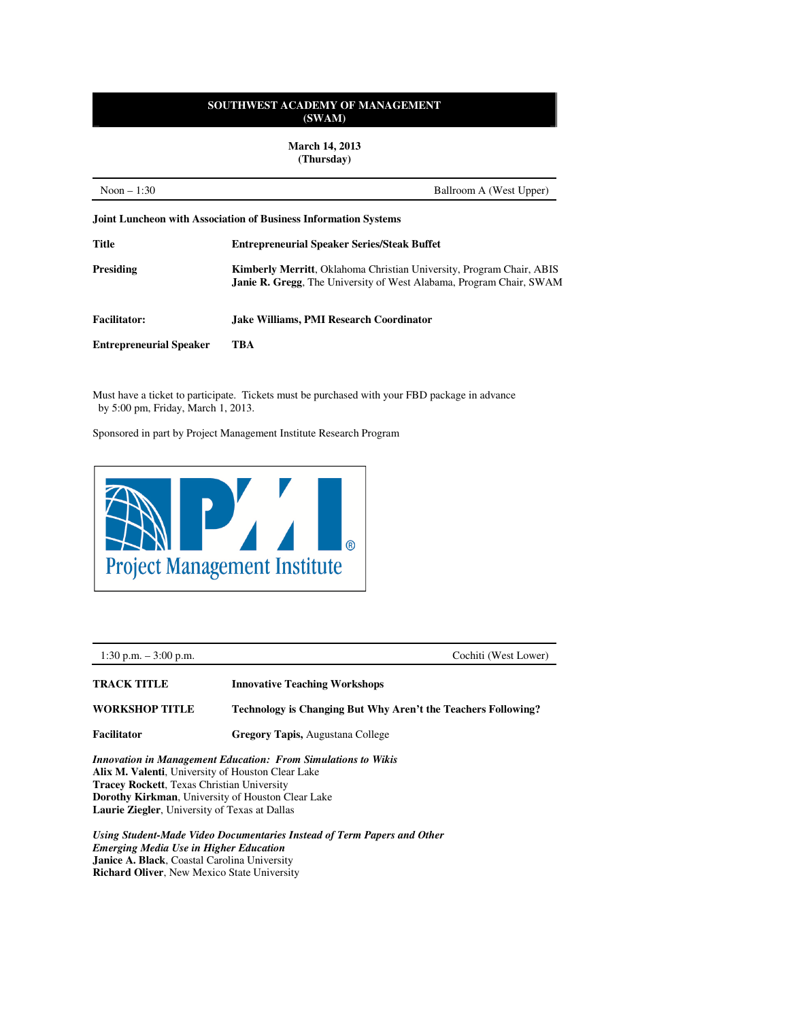**March 14, 2013 (Thursday)** 

| Noon $-1:30$<br>Ballroom A (West Upper) |                                                                                                                                                            |  |
|-----------------------------------------|------------------------------------------------------------------------------------------------------------------------------------------------------------|--|
|                                         | <b>Joint Luncheon with Association of Business Information Systems</b>                                                                                     |  |
| Title                                   | <b>Entrepreneurial Speaker Series/Steak Buffet</b>                                                                                                         |  |
| <b>Presiding</b>                        | <b>Kimberly Merritt, Oklahoma Christian University, Program Chair, ABIS</b><br><b>Janie R. Gregg</b> , The University of West Alabama, Program Chair, SWAM |  |
| <b>Facilitator:</b>                     | Jake Williams, PMI Research Coordinator                                                                                                                    |  |
| <b>Entrepreneurial Speaker</b>          | TBA                                                                                                                                                        |  |

Must have a ticket to participate. Tickets must be purchased with your FBD package in advance by 5:00 pm, Friday, March 1, 2013.

Sponsored in part by Project Management Institute Research Program



1:30 p.m. – 3:00 p.m. Cochiti (West Lower) **TRACK TITLE Innovative Teaching Workshops WORKSHOP TITLE Technology is Changing But Why Aren't the Teachers Following?** 

**Facilitator Gregory Tapis,** Augustana College

*Innovation in Management Education: From Simulations to Wikis*  **Alix M. Valenti**, University of Houston Clear Lake **Tracey Rockett**, Texas Christian University **Dorothy Kirkman**, University of Houston Clear Lake **Laurie Ziegler**, University of Texas at Dallas

*Using Student-Made Video Documentaries Instead of Term Papers and Other Emerging Media Use in Higher Education*  **Janice A. Black**, Coastal Carolina University **Richard Oliver**, New Mexico State University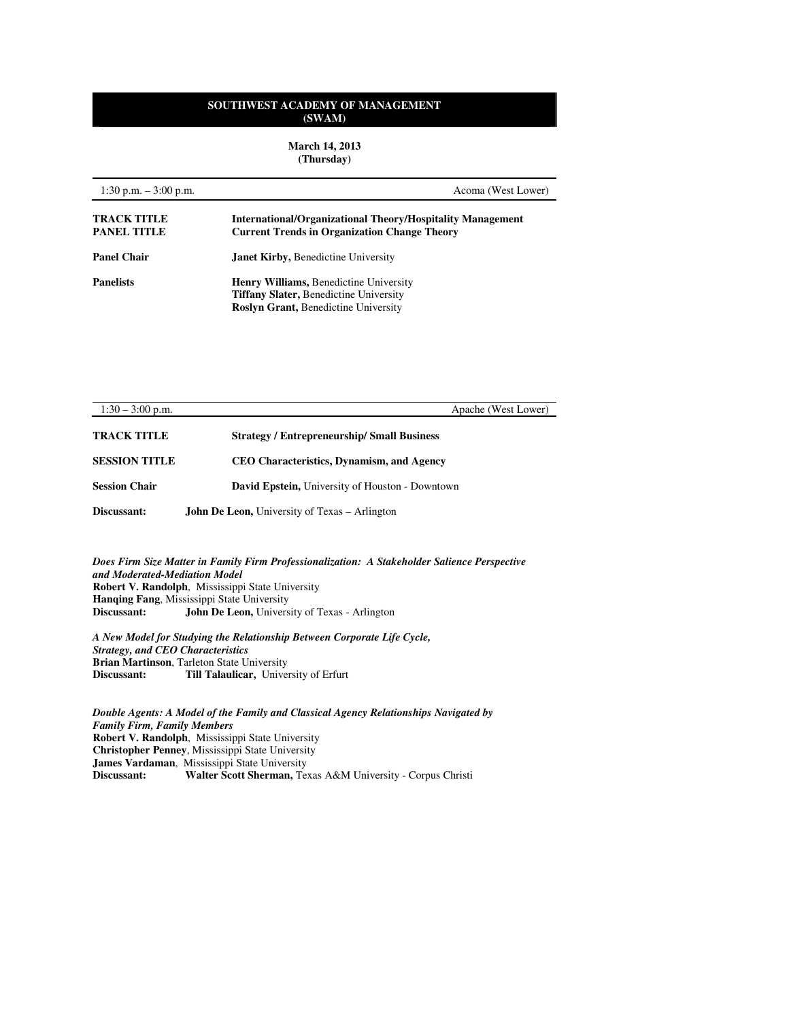**March 14, 2013 (Thursday)** 

| 1:30 p.m. $-3:00$ p.m.                   | Acoma (West Lower)                                                                                                                     |
|------------------------------------------|----------------------------------------------------------------------------------------------------------------------------------------|
| <b>TRACK TITLE</b><br><b>PANEL TITLE</b> | <b>International/Organizational Theory/Hospitality Management</b><br><b>Current Trends in Organization Change Theory</b>               |
| <b>Panel Chair</b>                       | <b>Janet Kirby, Benedictine University</b>                                                                                             |
| <b>Panelists</b>                         | <b>Henry Williams, Benedictine University</b><br><b>Tiffany Slater, Benedictine University</b><br>Roslyn Grant, Benedictine University |

| $1:30 - 3:00$ p.m.   | Apache (West Lower)                                    |
|----------------------|--------------------------------------------------------|
| <b>TRACK TITLE</b>   | <b>Strategy / Entrepreneurship/ Small Business</b>     |
| <b>SESSION TITLE</b> | <b>CEO Characteristics, Dynamism, and Agency</b>       |
| <b>Session Chair</b> | <b>David Epstein, University of Houston - Downtown</b> |
| Discussant:          | <b>John De Leon, University of Texas – Arlington</b>   |

*Does Firm Size Matter in Family Firm Professionalization: A Stakeholder Salience Perspective and Moderated-Mediation Model*  **Robert V. Randolph**, Mississippi State University **Hanqing Fang**, Mississippi State University **Discussant: John De Leon,** University of Texas - Arlington

*A New Model for Studying the Relationship Between Corporate Life Cycle, Strategy, and CEO Characteristics*  **Brian Martinson**, Tarleton State University<br>**Discussant:** Till Talaulicar, Univers **Till Talaulicar,** University of Erfurt

*Double Agents: A Model of the Family and Classical Agency Relationships Navigated by Family Firm, Family Members*  **Robert V. Randolph**, Mississippi State University **Christopher Penney**, Mississippi State University **James Vardaman, Mississippi State University<br>Discussant: Walter Scott Sherman, Tex Discussant: Walter Scott Sherman,** Texas A&M University - Corpus Christi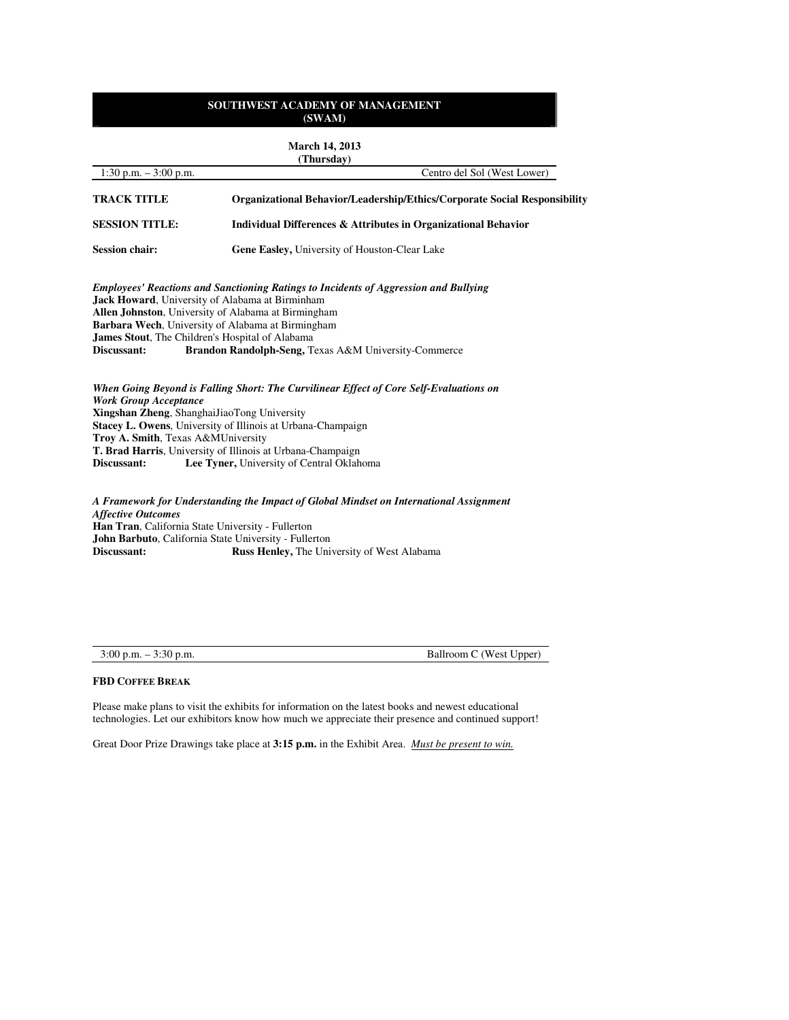|                                                                                                                                  | <b>March 14, 2013</b><br>(Thursday)                                                                                                                                                                                                                                                                                        |
|----------------------------------------------------------------------------------------------------------------------------------|----------------------------------------------------------------------------------------------------------------------------------------------------------------------------------------------------------------------------------------------------------------------------------------------------------------------------|
| $1:30$ p.m. $-3:00$ p.m.                                                                                                         | Centro del Sol (West Lower)                                                                                                                                                                                                                                                                                                |
| <b>TRACK TITLE</b>                                                                                                               | <b>Organizational Behavior/Leadership/Ethics/Corporate Social Responsibility</b>                                                                                                                                                                                                                                           |
| <b>SESSION TITLE:</b>                                                                                                            | Individual Differences & Attributes in Organizational Behavior                                                                                                                                                                                                                                                             |
| <b>Session chair:</b>                                                                                                            | <b>Gene Easley, University of Houston-Clear Lake</b>                                                                                                                                                                                                                                                                       |
| James Stout, The Children's Hospital of Alabama<br>Discussant:                                                                   | <b>Employees' Reactions and Sanctioning Ratings to Incidents of Aggression and Bullying</b><br><b>Jack Howard</b> , University of Alabama at Birminham<br>Allen Johnston, University of Alabama at Birmingham<br>Barbara Wech, University of Alabama at Birmingham<br>Brandon Randolph-Seng, Texas A&M University-Commerce |
| <b>Work Group Acceptance</b><br>Xingshan Zheng, ShanghaiJiaoTong University<br>Troy A. Smith, Texas A&MUniversity<br>Discussant: | When Going Beyond is Falling Short: The Curvilinear Effect of Core Self-Evaluations on<br>Stacey L. Owens, University of Illinois at Urbana-Champaign<br>T. Brad Harris, University of Illinois at Urbana-Champaign<br>Lee Tyner, University of Central Oklahoma                                                           |
| <b>Affective Outcomes</b><br>Han Tran, California State University - Fullerton                                                   | A Framework for Understanding the Impact of Global Mindset on International Assignment                                                                                                                                                                                                                                     |

**John Barbuto**, California State University - Fullerton **Discussant: Russ Henley,** The University of West Alabama

3:00 p.m. – 3:30 p.m. Ballroom C (West Upper)

# **FBD COFFEE BREAK**

Please make plans to visit the exhibits for information on the latest books and newest educational technologies. Let our exhibitors know how much we appreciate their presence and continued support!

Great Door Prize Drawings take place at **3:15 p.m.** in the Exhibit Area. *Must be present to win.*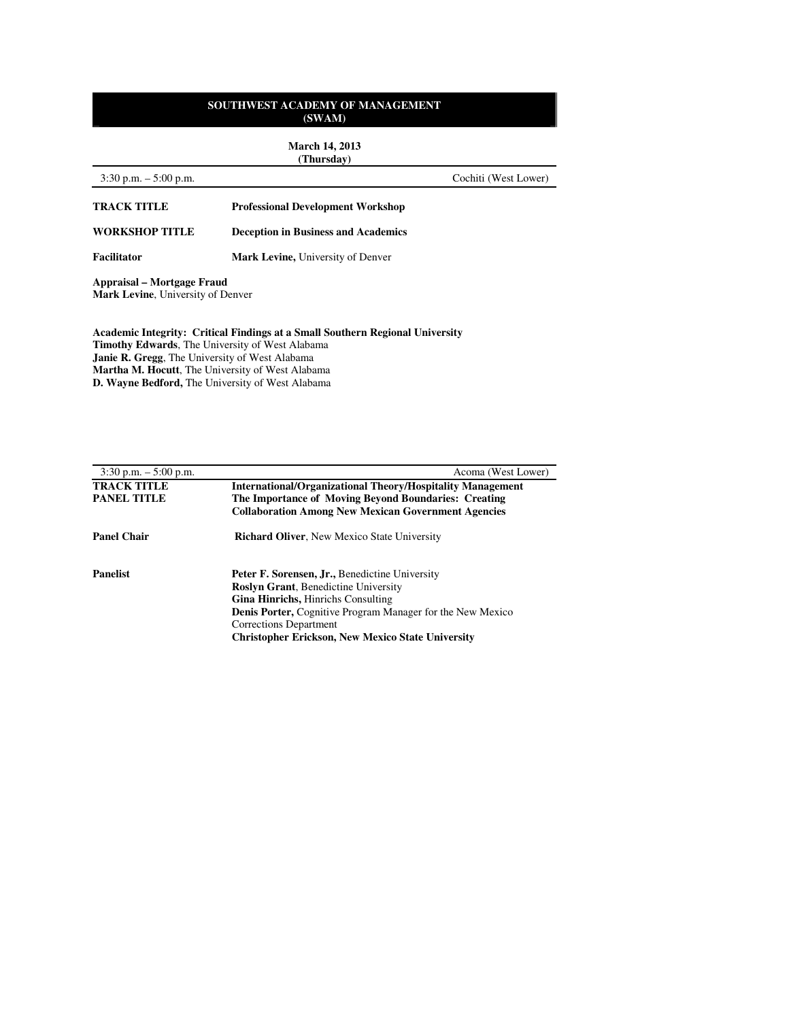**March 14, 2013 (Thursday)**

# 3:30 p.m. – 5:00 p.m. Cochiti (West Lower) **TRACK TITLE Professional Development Workshop WORKSHOP TITLE Deception in Business and Academics**  Facilitator **Mark Levine**, University of Denver **Appraisal – Mortgage Fraud Mark Levine**, University of Denver

**Academic Integrity: Critical Findings at a Small Southern Regional University Timothy Edwards**, The University of West Alabama **Janie R. Gregg**, The University of West Alabama **Martha M. Hocutt**, The University of West Alabama **D. Wayne Bedford,** The University of West Alabama

| $3:30$ p.m. $-5:00$ p.m. | Acoma (West Lower)                                                |
|--------------------------|-------------------------------------------------------------------|
| <b>TRACK TITLE</b>       | <b>International/Organizational Theory/Hospitality Management</b> |
| <b>PANEL TITLE</b>       | The Importance of Moving Beyond Boundaries: Creating              |
|                          | <b>Collaboration Among New Mexican Government Agencies</b>        |
| <b>Panel Chair</b>       | <b>Richard Oliver, New Mexico State University</b>                |
| <b>Panelist</b>          | <b>Peter F. Sorensen, Jr., Benedictine University</b>             |
|                          | <b>Roslyn Grant, Benedictine University</b>                       |
|                          | <b>Gina Hinrichs, Hinrichs Consulting</b>                         |
|                          | <b>Denis Porter, Cognitive Program Manager for the New Mexico</b> |
|                          | Corrections Department                                            |
|                          | <b>Christopher Erickson, New Mexico State University</b>          |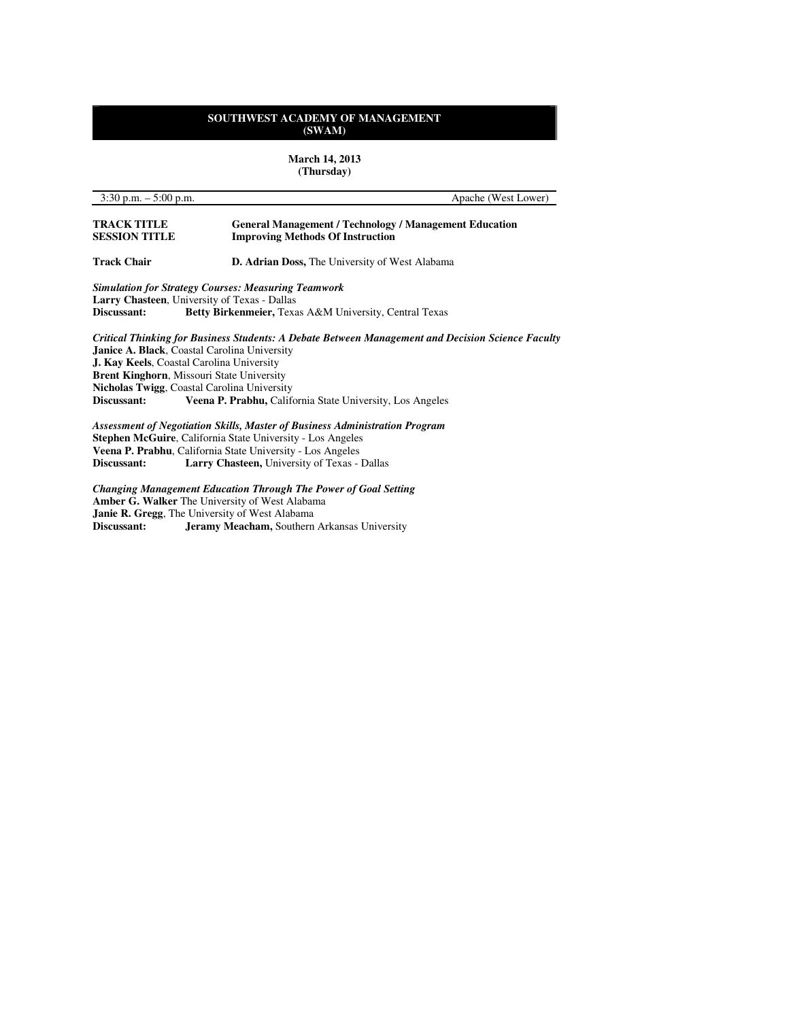**March 14, 2013 (Thursday)**

| $3:30$ p.m. $-5:00$ p.m.                   | Apache (West Lower)                                                                                      |
|--------------------------------------------|----------------------------------------------------------------------------------------------------------|
| <b>TRACK TITLE</b><br><b>SESSION TITLE</b> | <b>General Management / Technology / Management Education</b><br><b>Improving Methods Of Instruction</b> |
| <b>Track Chair</b>                         | <b>D. Adrian Doss, The University of West Alabama</b>                                                    |
|                                            | <b>Simulation for Strategy Courses: Measuring Teamwork</b>                                               |
|                                            | Larry Chasteen, University of Texas - Dallas                                                             |
| Discussant:                                | Betty Birkenmeier, Texas A&M University, Central Texas                                                   |
|                                            | Critical Thinking for Business Students: A Debate Between Management and Decision Science Faculty        |
|                                            | <b>Janice A. Black, Coastal Carolina University</b>                                                      |
|                                            | <b>J. Kay Keels, Coastal Carolina University</b>                                                         |
|                                            | <b>Brent Kinghorn, Missouri State University</b>                                                         |
|                                            | Nicholas Twigg, Coastal Carolina University                                                              |
| Discussant:                                | Veena P. Prabhu, California State University, Los Angeles                                                |
|                                            | Assessment of Negotiation Skills, Master of Business Administration Program                              |
|                                            | <b>Stephen McGuire, California State University - Los Angeles</b>                                        |
|                                            | Veena P. Prabhu, California State University - Los Angeles                                               |

*Changing Management Education Through The Power of Goal Setting*  **Amber G. Walker** The University of West Alabama **Janie R. Gregg**, The University of West Alabama

**Discussant: Jeramy Meacham,** Southern Arkansas University

**Discussant: Larry Chasteen,** University of Texas - Dallas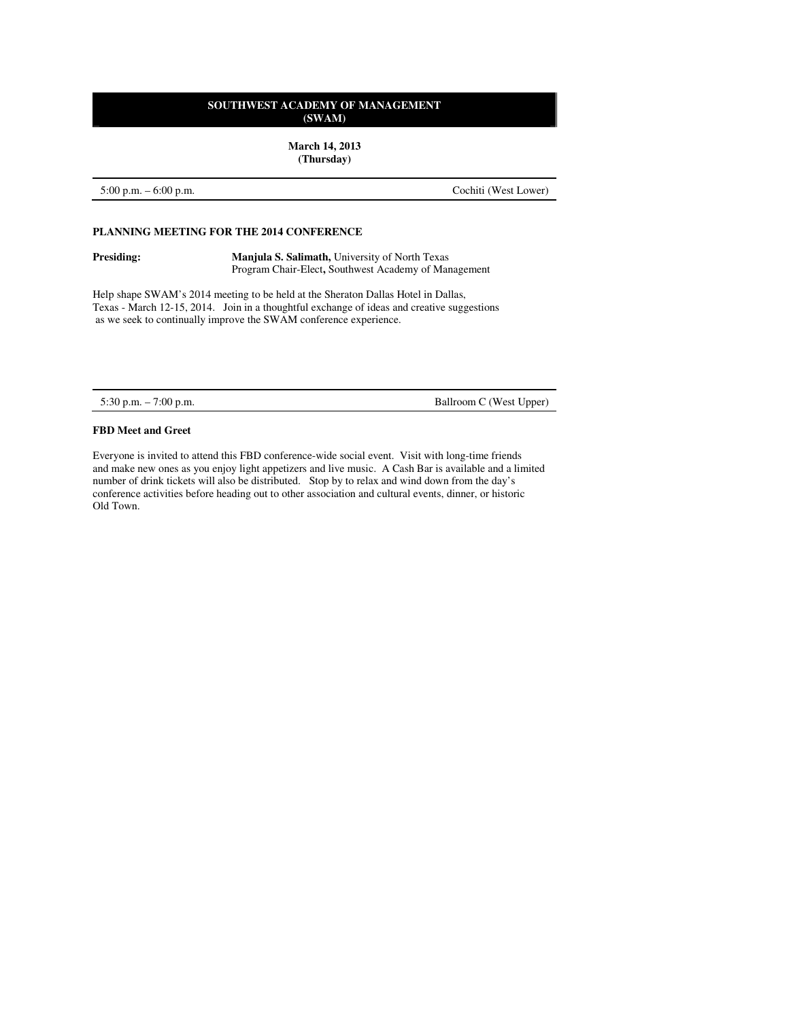**March 14, 2013 (Thursday)** 

5:00 p.m. – 6:00 p.m. Cochiti (West Lower)

#### **PLANNING MEETING FOR THE 2014 CONFERENCE**

**Presiding:** Manjula S. Salimath, University of North Texas Program Chair-Elect**,** Southwest Academy of Management

Help shape SWAM's 2014 meeting to be held at the Sheraton Dallas Hotel in Dallas, Texas - March 12-15, 2014. Join in a thoughtful exchange of ideas and creative suggestions as we seek to continually improve the SWAM conference experience.

5:30 p.m. – 7:00 p.m. Ballroom C (West Upper)

#### **FBD Meet and Greet**

Everyone is invited to attend this FBD conference-wide social event. Visit with long-time friends and make new ones as you enjoy light appetizers and live music. A Cash Bar is available and a limited number of drink tickets will also be distributed. Stop by to relax and wind down from the day's conference activities before heading out to other association and cultural events, dinner, or historic Old Town.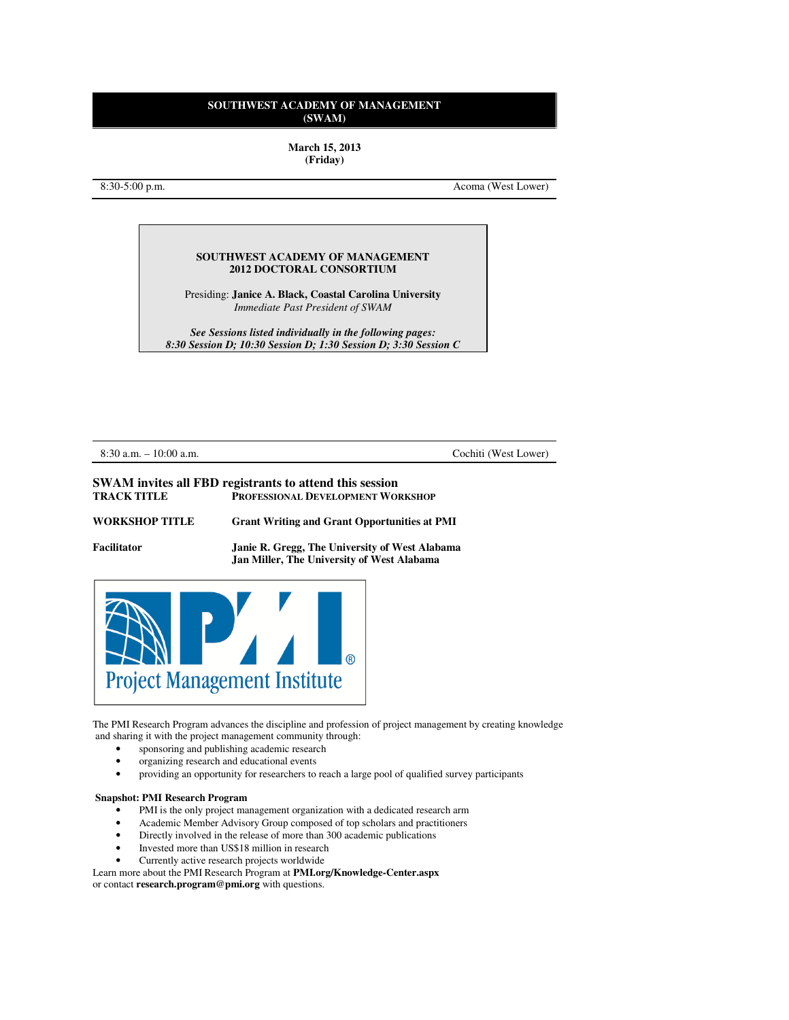**March 15, 2013 (Friday)** 

8:30-5:00 p.m. Acoma (West Lower)

### **SOUTHWEST ACADEMY OF MANAGEMENT 2012 DOCTORAL CONSORTIUM**

Presiding: **Janice A. Black, Coastal Carolina University** *Immediate Past President of SWAM* 

*See Sessions listed individually in the following pages: 8:30 Session D; 10:30 Session D; 1:30 Session D; 3:30 Session C* 

8:30 a.m. – 10:00 a.m. Cochiti (West Lower)

#### **SWAM invites all FBD registrants to attend this session TRACK TITLE PROFESSIONAL DEVELOPMENT WORKSHOP**

| <b>WORKSHOP TITLE</b> | <b>Grant Writing and Grant Opportunities at PMI</b> |
|-----------------------|-----------------------------------------------------|
| Facilitator           | Janie R. Gregg, The University of West Alabama      |



The PMI Research Program advances the discipline and profession of project management by creating knowledge and sharing it with the project management community through:

 **Jan Miller, The University of West Alabama** 

- sponsoring and publishing academic research
- organizing research and educational events
- providing an opportunity for researchers to reach a large pool of qualified survey participants

#### **Snapshot: PMI Research Program**

- PMI is the only project management organization with a dedicated research arm
- Academic Member Advisory Group composed of top scholars and practitioners
- Directly involved in the release of more than 300 academic publications
- Invested more than US\$18 million in research
- Currently active research projects worldwide

Learn more about the PMI Research Program at **PMI.org/Knowledge-Center.aspx** or contact **research.program@pmi.org** with questions.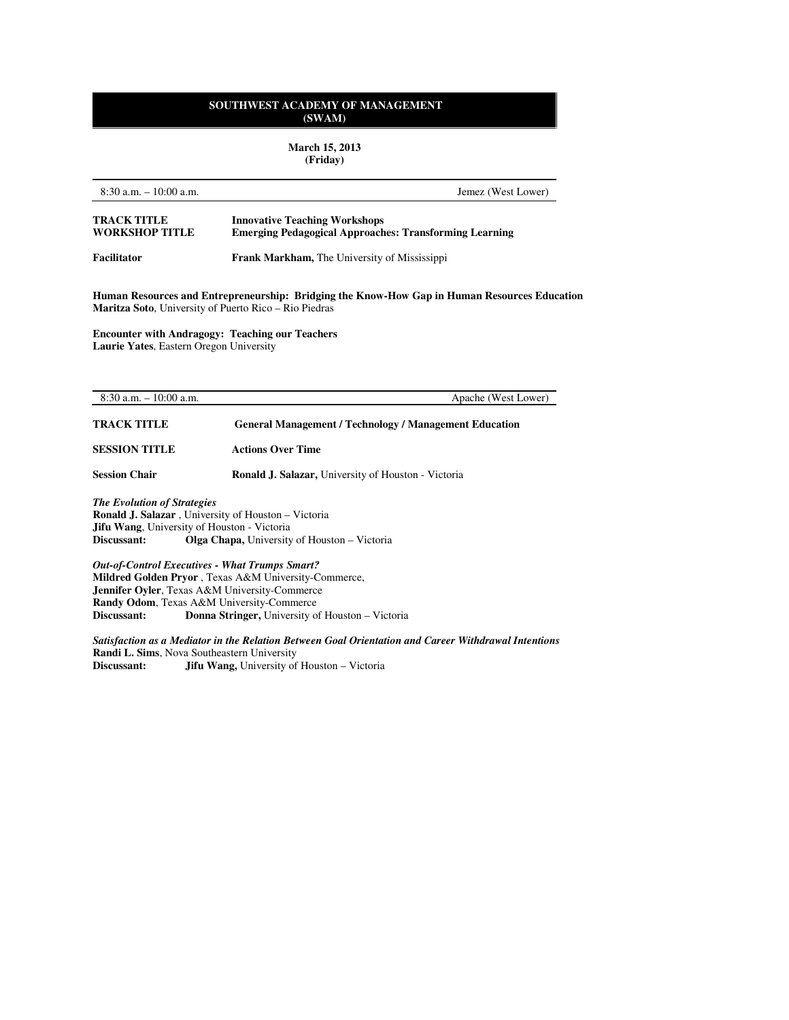**March 15, 2013 (Friday)** 

| $8:30$ a.m. $-10:00$ a.m.                                                                                                                                          | Jemez (West Lower)                                                                                    |
|--------------------------------------------------------------------------------------------------------------------------------------------------------------------|-------------------------------------------------------------------------------------------------------|
| <b>TRACK TITLE</b><br><b>WORKSHOP TITLE</b>                                                                                                                        | <b>Innovative Teaching Workshops</b><br><b>Emerging Pedagogical Approaches: Transforming Learning</b> |
| <b>Facilitator</b>                                                                                                                                                 | <b>Frank Markham, The University of Mississippi</b>                                                   |
| <b>Maritza Soto</b> , University of Puerto Rico – Rio Piedras<br><b>Encounter with Andragogy: Teaching our Teachers</b><br>Laurie Yates, Eastern Oregon University | Human Resources and Entrepreneurship: Bridging the Know-How Gap in Human Resources Education          |
| $8:30$ a.m. $-10:00$ a.m.                                                                                                                                          | Apache (West Lower)                                                                                   |
| <b>TRACK TITLE</b>                                                                                                                                                 | <b>General Management / Technology / Management Education</b>                                         |
| <b>SESSION TITLE</b>                                                                                                                                               | <b>Actions Over Time</b>                                                                              |
| <b>Session Chair</b>                                                                                                                                               | <b>Ronald J. Salazar, University of Houston - Victoria</b>                                            |
| <b>The Evolution of Strategies</b><br><b>Ronald J. Salazar</b> , University of Houston - Victoria<br>Jifu Wang, University of Houston - Victoria<br>Discussant:    | <b>Olga Chapa, University of Houston – Victoria</b>                                                   |

*Out-of-Control Executives - What Trumps Smart?*  **Mildred Golden Pryor** , Texas A&M University-Commerce, **Jennifer Oyler**, Texas A&M University-Commerce **Randy Odom**, Texas A&M University-Commerce<br>Discussant: Donna Stringer, University of Donna Stringer, University of Houston – Victoria

*Satisfaction as a Mediator in the Relation Between Goal Orientation and Career Withdrawal Intentions*  **Randi L. Sims**, Nova Southeastern University<br>Discussant: **Jifu Wang**, University of **Jifu Wang, University of Houston – Victoria**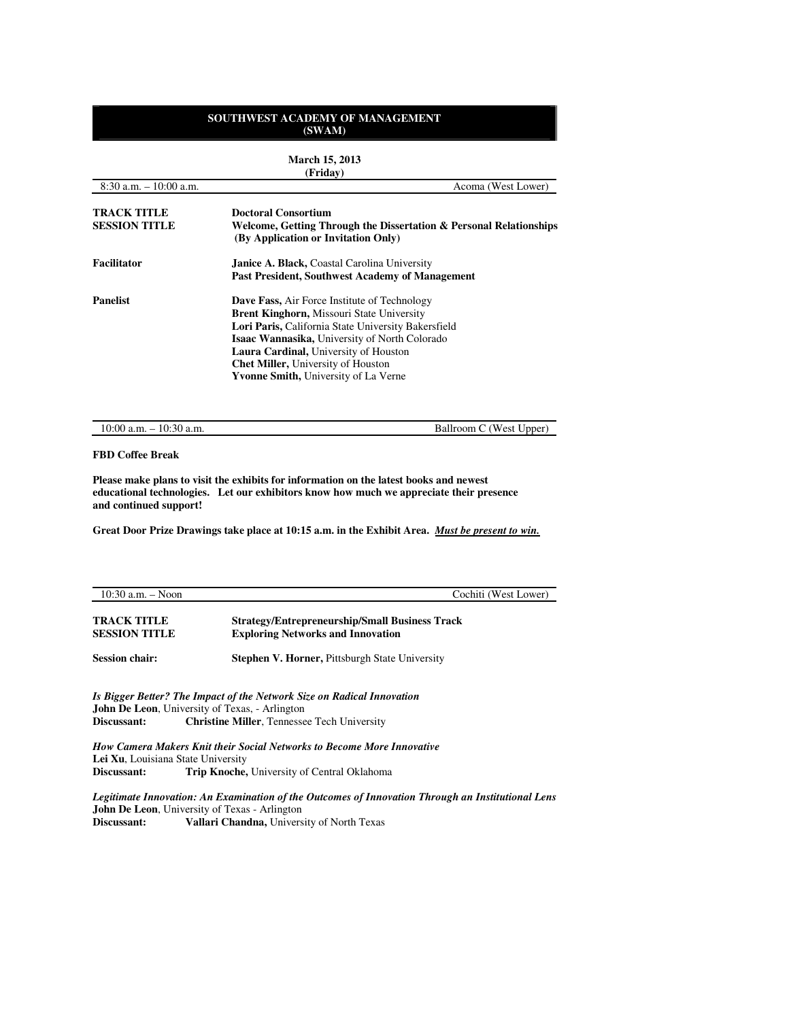**March 15, 2013 (Friday)**

| (FITUAV)                                                           |  |  |
|--------------------------------------------------------------------|--|--|
| Acoma (West Lower)                                                 |  |  |
| Welcome, Getting Through the Dissertation & Personal Relationships |  |  |
|                                                                    |  |  |
|                                                                    |  |  |
|                                                                    |  |  |
|                                                                    |  |  |
|                                                                    |  |  |
|                                                                    |  |  |
|                                                                    |  |  |
|                                                                    |  |  |
|                                                                    |  |  |
|                                                                    |  |  |
|                                                                    |  |  |

10:00 a.m. – 10:30 a.m. Ballroom C (West Upper)

#### **FBD Coffee Break**

**Please make plans to visit the exhibits for information on the latest books and newest educational technologies. Let our exhibitors know how much we appreciate their presence and continued support!** 

**Great Door Prize Drawings take place at 10:15 a.m. in the Exhibit Area.** *Must be present to win.* 

| $10:30$ a.m. $-$ Noon                      | Cochiti (West Lower)                                                                                                                                                                  |
|--------------------------------------------|---------------------------------------------------------------------------------------------------------------------------------------------------------------------------------------|
| <b>TRACK TITLE</b><br><b>SESSION TITLE</b> | <b>Strategy/Entrepreneurship/Small Business Track</b><br><b>Exploring Networks and Innovation</b>                                                                                     |
| <b>Session chair:</b>                      | <b>Stephen V. Horner, Pittsburgh State University</b>                                                                                                                                 |
| Discussant:                                | Is Bigger Better? The Impact of the Network Size on Radical Innovation<br><b>John De Leon, University of Texas, - Arlington</b><br><b>Christine Miller, Tennessee Tech University</b> |
| Lei Xu, Louisiana State University         | <b>How Camera Makers Knit their Social Networks to Become More Innovative</b>                                                                                                         |
| Discussant:                                | <b>Trip Knoche, University of Central Oklahoma</b>                                                                                                                                    |

*Legitimate Innovation: An Examination of the Outcomes of Innovation Through an Institutional Lens*  **John De Leon**, University of Texas - Arlington<br>Discussant: **Vallari Chandna**, Univers Vallari Chandna, University of North Texas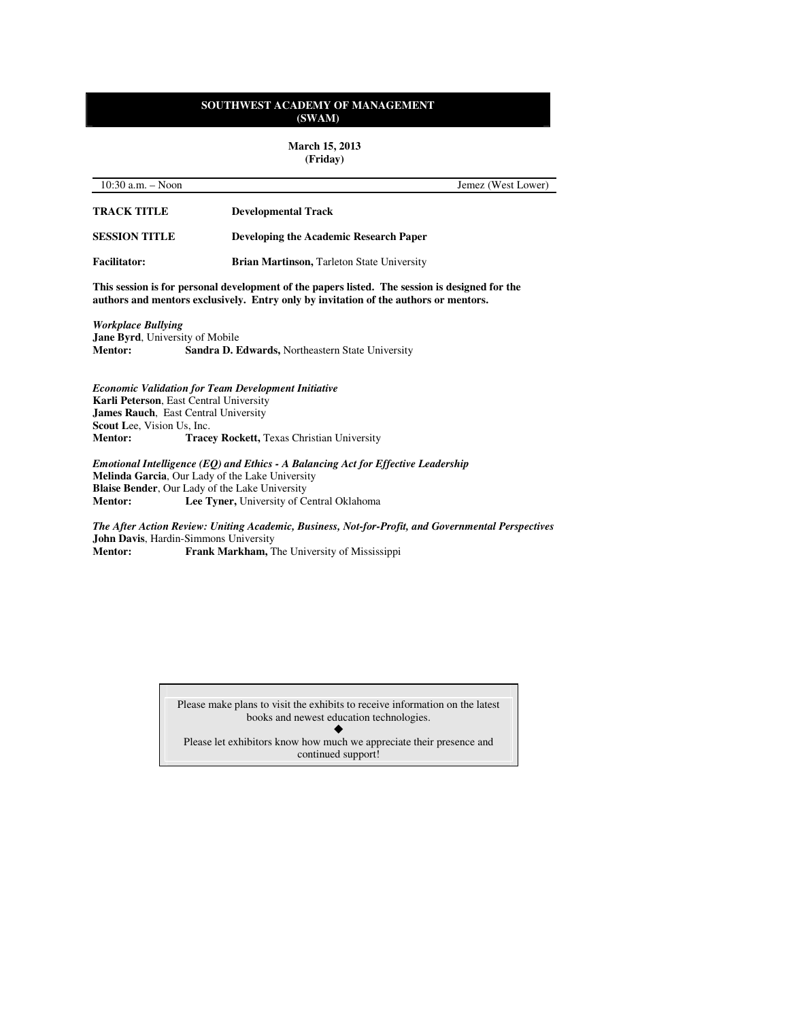**March 15, 2013 (Friday)** 

| 10:30 a.m. $-$ Noon                                                                                                                                                                    |                                                                                                                                | Jemez (West Lower)                                                                              |
|----------------------------------------------------------------------------------------------------------------------------------------------------------------------------------------|--------------------------------------------------------------------------------------------------------------------------------|-------------------------------------------------------------------------------------------------|
| <b>TRACK TITLE</b>                                                                                                                                                                     | <b>Developmental Track</b>                                                                                                     |                                                                                                 |
| <b>SESSION TITLE</b>                                                                                                                                                                   | <b>Developing the Academic Research Paper</b>                                                                                  |                                                                                                 |
| <b>Facilitator:</b>                                                                                                                                                                    | <b>Brian Martinson, Tarleton State University</b>                                                                              |                                                                                                 |
| This session is for personal development of the papers listed. The session is designed for the<br>authors and mentors exclusively. Entry only by invitation of the authors or mentors. |                                                                                                                                |                                                                                                 |
| <b>Workplace Bullying</b><br>Jane Byrd, University of Mobile<br><b>Mentor:</b>                                                                                                         | Sandra D. Edwards, Northeastern State University                                                                               |                                                                                                 |
| Karli Peterson, East Central University<br><b>James Rauch, East Central University</b><br><b>Scout Lee</b> , Vision Us, Inc.<br><b>Mentor:</b>                                         | <b>Economic Validation for Team Development Initiative</b><br><b>Tracey Rockett, Texas Christian University</b>                |                                                                                                 |
| Melinda Garcia, Our Lady of the Lake University<br><b>Blaise Bender, Our Lady of the Lake University</b><br><b>Mentor:</b>                                                             | Emotional Intelligence (EQ) and Ethics - A Balancing Act for Effective Leadership<br>Lee Tyner, University of Central Oklahoma |                                                                                                 |
|                                                                                                                                                                                        |                                                                                                                                | The After Action Review: Uniting Academic Rusiness Not-for-Profit and Governmental Perspectives |

*The After Action Review: Uniting Academic, Business, Not-for-Profit, and Governmental Perspectives*  **John Davis**, Hardin-Simmons University **Mentor:** Frank Markham, The University of Mississippi

> Please make plans to visit the exhibits to receive information on the latest books and newest education technologies.

 $\blacklozenge$ Please let exhibitors know how much we appreciate their presence and continued support!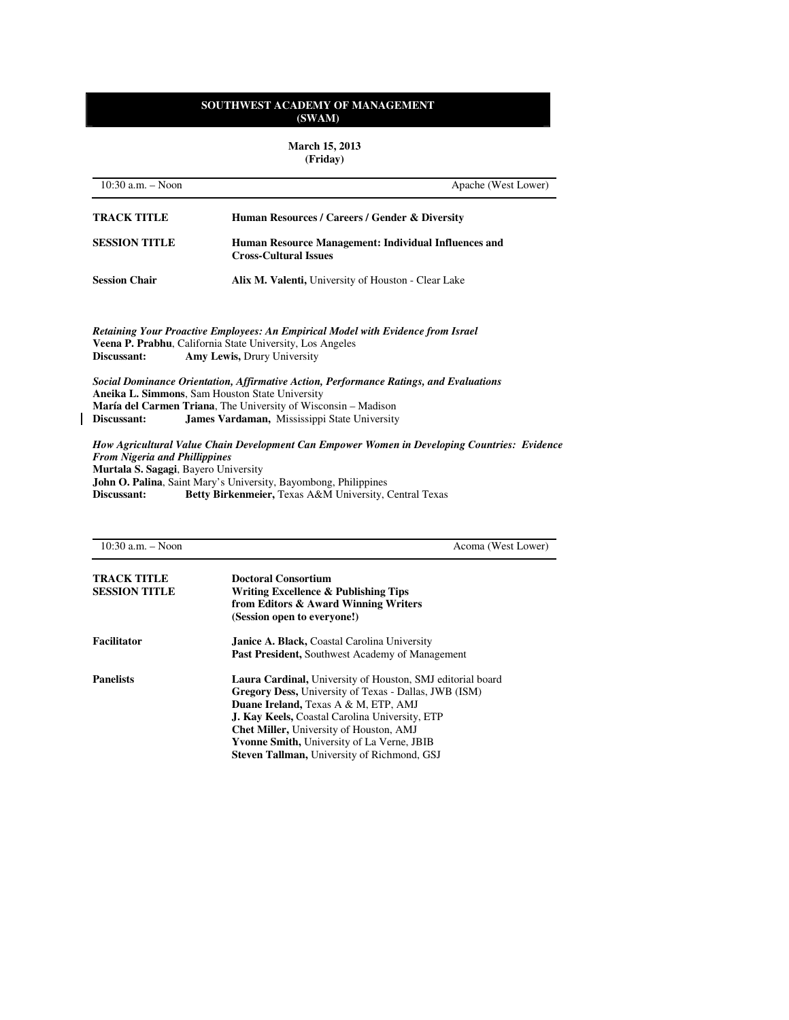**March 15, 2013 (Friday)** 

| $10:30$ a.m. $-$ Noon                                                                       | Apache (West Lower)                                                                                                                                                                                                              |
|---------------------------------------------------------------------------------------------|----------------------------------------------------------------------------------------------------------------------------------------------------------------------------------------------------------------------------------|
| <b>TRACK TITLE</b>                                                                          | Human Resources / Careers / Gender & Diversity                                                                                                                                                                                   |
| <b>SESSION TITLE</b>                                                                        | Human Resource Management: Individual Influences and<br><b>Cross-Cultural Issues</b>                                                                                                                                             |
| <b>Session Chair</b>                                                                        | <b>Alix M. Valenti, University of Houston - Clear Lake</b>                                                                                                                                                                       |
| Discussant:                                                                                 | Retaining Your Proactive Employees: An Empirical Model with Evidence from Israel<br>Veena P. Prabhu, California State University, Los Angeles<br>Amy Lewis, Drury University                                                     |
| Aneika L. Simmons, Sam Houston State University                                             | Social Dominance Orientation, Affirmative Action, Performance Ratings, and Evaluations                                                                                                                                           |
|                                                                                             | <b>María del Carmen Triana</b> , The University of Wisconsin – Madison                                                                                                                                                           |
| Discussant:                                                                                 | <b>James Vardaman, Mississippi State University</b>                                                                                                                                                                              |
| <b>From Nigeria and Phillippines</b><br>Murtala S. Sagagi, Bayero University<br>Discussant: | How Agricultural Value Chain Development Can Empower Women in Developing Countries: Evidence<br><b>John O. Palina, Saint Mary's University, Bayombong, Philippines</b><br>Betty Birkenmeier, Texas A&M University, Central Texas |
|                                                                                             |                                                                                                                                                                                                                                  |

 $\overline{\mathbf{I}}$ 

| $10:30$ a.m. $-$ Noon                      | Acoma (West Lower)                                                                                                                                                                                                                                                                                                                                                                       |
|--------------------------------------------|------------------------------------------------------------------------------------------------------------------------------------------------------------------------------------------------------------------------------------------------------------------------------------------------------------------------------------------------------------------------------------------|
| <b>TRACK TITLE</b><br><b>SESSION TITLE</b> | <b>Doctoral Consortium</b><br>Writing Excellence & Publishing Tips<br>from Editors & Award Winning Writers<br>(Session open to everyone!)                                                                                                                                                                                                                                                |
| Facilitator                                | <b>Janice A. Black, Coastal Carolina University</b><br><b>Past President, Southwest Academy of Management</b>                                                                                                                                                                                                                                                                            |
| <b>Panelists</b>                           | Laura Cardinal, University of Houston, SMJ editorial board<br><b>Gregory Dess, University of Texas - Dallas, JWB (ISM)</b><br>Duane Ireland, Texas A & M, ETP, AMJ<br><b>J. Kay Keels, Coastal Carolina University, ETP</b><br><b>Chet Miller, University of Houston, AMJ</b><br><b>Yvonne Smith, University of La Verne, JBIB</b><br><b>Steven Tallman, University of Richmond, GSJ</b> |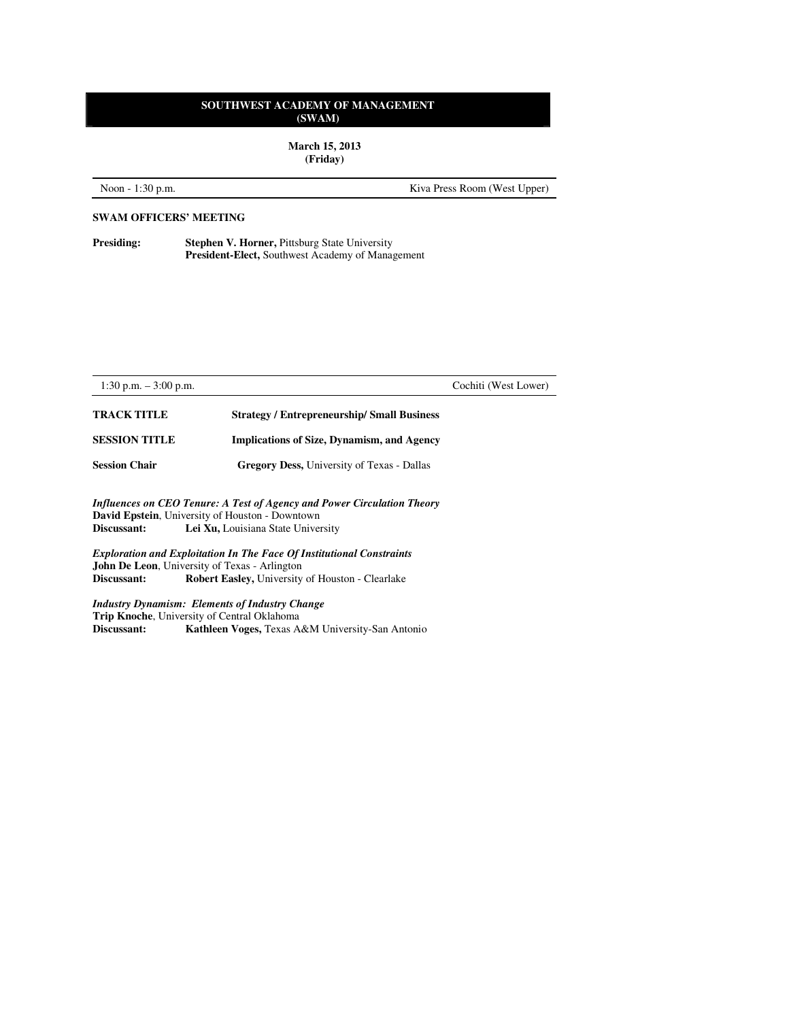**March 15, 2013 (Friday)** 

Noon - 1:30 p.m. Kiva Press Room (West Upper)

#### **SWAM OFFICERS' MEETING**

**Presiding:** Stephen V. Horner, Pittsburg State University **President-Elect,** Southwest Academy of Management

| 1:30 p.m. $-3:00$ p.m.                                 |                                                                         | Cochiti (West Lower) |
|--------------------------------------------------------|-------------------------------------------------------------------------|----------------------|
| <b>TRACK TITLE</b>                                     | <b>Strategy / Entrepreneurship/ Small Business</b>                      |                      |
| <b>SESSION TITLE</b>                                   | <b>Implications of Size, Dynamism, and Agency</b>                       |                      |
| <b>Session Chair</b>                                   | <b>Gregory Dess, University of Texas - Dallas</b>                       |                      |
| <b>David Epstein, University of Houston - Downtown</b> | Influences on CEO Tenure: A Test of Agency and Power Circulation Theory |                      |

**Discussant:** Lei Xu, Louisiana State University

*Exploration and Exploitation In The Face Of Institutional Constraints*  **John De Leon**, University of Texas - Arlington<br>Discussant: Robert Easley, University Robert Easley, University of Houston - Clearlake

*Industry Dynamism: Elements of Industry Change*  **Trip Knoche**, University of Central Oklahoma<br>Discussant: Kathleen Voges, Texas A **Discussant: Kathleen Voges,** Texas A&M University-San Antonio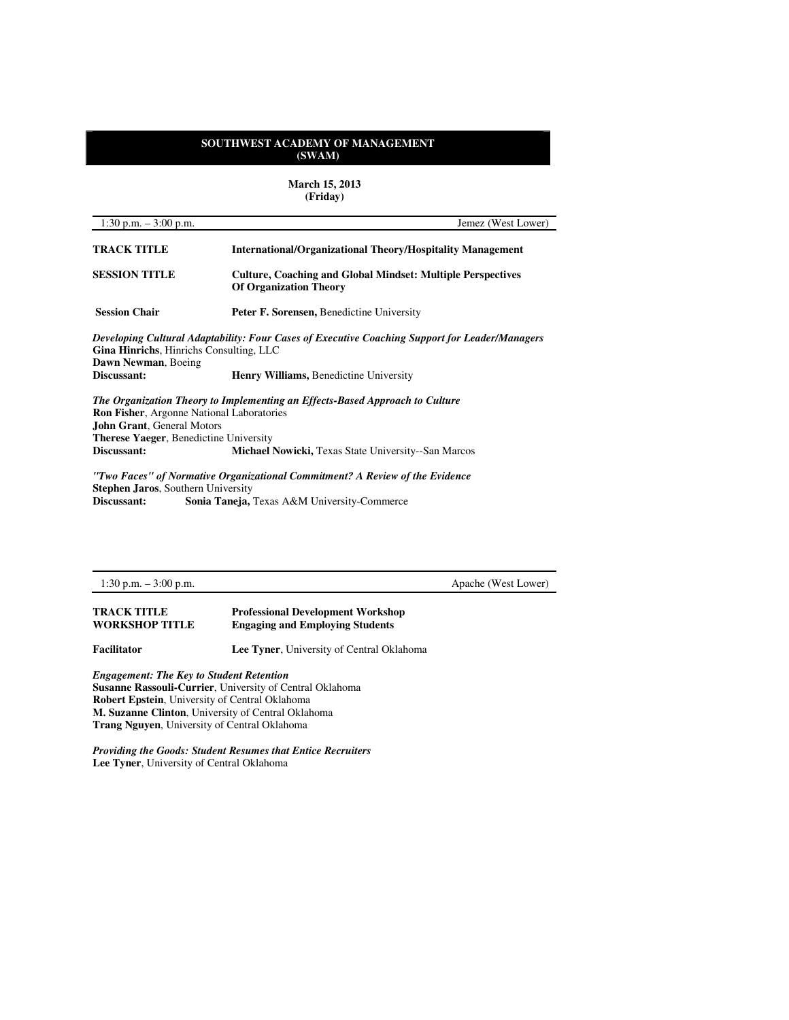**March 15, 2013 (Friday)** 

| 1:30 p.m. $-3:00$ p.m.                                                                                                                                                                                                                                                                              | Jemez (West Lower)                                                                                  |
|-----------------------------------------------------------------------------------------------------------------------------------------------------------------------------------------------------------------------------------------------------------------------------------------------------|-----------------------------------------------------------------------------------------------------|
| <b>TRACK TITLE</b>                                                                                                                                                                                                                                                                                  | <b>International/Organizational Theory/Hospitality Management</b>                                   |
| <b>SESSION TITLE</b>                                                                                                                                                                                                                                                                                | <b>Culture, Coaching and Global Mindset: Multiple Perspectives</b><br><b>Of Organization Theory</b> |
| <b>Session Chair</b>                                                                                                                                                                                                                                                                                | <b>Peter F. Sorensen, Benedictine University</b>                                                    |
| Gina Hinrichs, Hinrichs Consulting, LLC<br>Dawn Newman, Boeing                                                                                                                                                                                                                                      | Developing Cultural Adaptability: Four Cases of Executive Coaching Support for Leader/Managers      |
| Discussant:                                                                                                                                                                                                                                                                                         | <b>Henry Williams, Benedictine University</b>                                                       |
| The Organization Theory to Implementing an Effects-Based Approach to Culture<br><b>Ron Fisher, Argonne National Laboratories</b><br><b>John Grant, General Motors</b><br><b>Therese Yaeger, Benedictine University</b><br>Discussant:<br><b>Michael Nowicki, Texas State University--San Marcos</b> |                                                                                                     |

*"Two Faces" of Normative Organizational Commitment? A Review of the Evidence*  **Stephen Jaros**, Southern University<br>Discussant: Sonia Taneja, Sonia Taneja, Texas A&M University-Commerce

1:30 p.m. – 3:00 p.m. Apache (West Lower)

| TRACK TITLE           | <b>Professional Development Workshop</b> |
|-----------------------|------------------------------------------|
| <b>WORKSHOP TITLE</b> | <b>Engaging and Employing Students</b>   |

**Facilitator Lee Tyner**, University of Central Oklahoma

*Engagement: The Key to Student Retention*  **Susanne Rassouli-Currier**, University of Central Oklahoma **Robert Epstein**, University of Central Oklahoma **M. Suzanne Clinton**, University of Central Oklahoma **Trang Nguyen**, University of Central Oklahoma

*Providing the Goods: Student Resumes that Entice Recruiters*  **Lee Tyner**, University of Central Oklahoma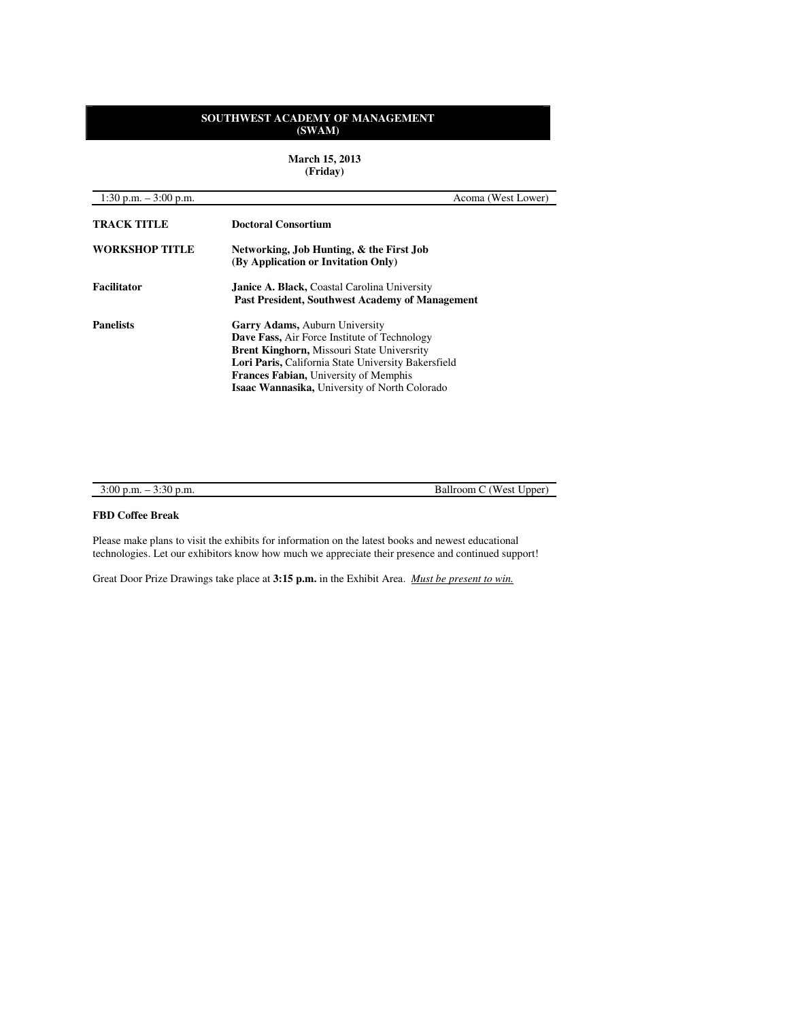**March 15, 2013 (Friday)** 

| 1:30 p.m. $-3:00$ p.m. | Acoma (West Lower)                                                                                                                                                                                                                                                                                 |
|------------------------|----------------------------------------------------------------------------------------------------------------------------------------------------------------------------------------------------------------------------------------------------------------------------------------------------|
| <b>TRACK TITLE</b>     | <b>Doctoral Consortium</b>                                                                                                                                                                                                                                                                         |
| <b>WORKSHOP TITLE</b>  | Networking, Job Hunting, & the First Job<br>(By Application or Invitation Only)                                                                                                                                                                                                                    |
| <b>Facilitator</b>     | <b>Janice A. Black, Coastal Carolina University</b><br><b>Past President, Southwest Academy of Management</b>                                                                                                                                                                                      |
| <b>Panelists</b>       | <b>Garry Adams, Auburn University</b><br><b>Dave Fass, Air Force Institute of Technology</b><br>Brent Kinghorn, Missouri State Universrity<br>Lori Paris, California State University Bakersfield<br><b>Frances Fabian, University of Memphis</b><br>Isaac Wannasika, University of North Colorado |

| $3:00$ p.m. $-$ | (West Upper) |
|-----------------|--------------|
| $3:30$ p.m.     | Ballroom C   |

# **FBD Coffee Break**

Please make plans to visit the exhibits for information on the latest books and newest educational technologies. Let our exhibitors know how much we appreciate their presence and continued support!

Great Door Prize Drawings take place at **3:15 p.m.** in the Exhibit Area. *Must be present to win.*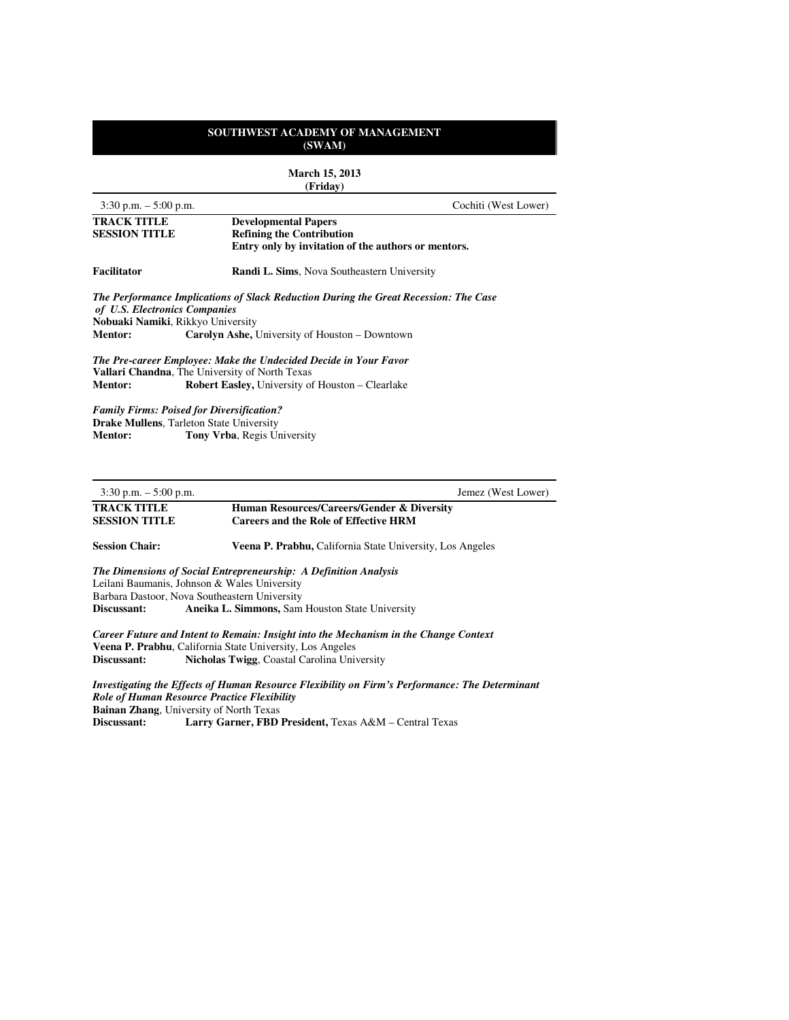| <b>March 15, 2013</b><br>(Friday)                                  |                                                                                                                                                                               |                                                                                      |
|--------------------------------------------------------------------|-------------------------------------------------------------------------------------------------------------------------------------------------------------------------------|--------------------------------------------------------------------------------------|
| $3:30$ p.m. $-5:00$ p.m.                                           |                                                                                                                                                                               | Cochiti (West Lower)                                                                 |
| <b>TRACK TITLE</b><br><b>SESSION TITLE</b>                         | <b>Developmental Papers</b><br><b>Refining the Contribution</b>                                                                                                               |                                                                                      |
|                                                                    |                                                                                                                                                                               | Entry only by invitation of the authors or mentors.                                  |
| <b>Facilitator</b>                                                 |                                                                                                                                                                               | <b>Randi L. Sims, Nova Southeastern University</b>                                   |
| of U.S. Electronics Companies<br>Nobuaki Namiki, Rikkyo University |                                                                                                                                                                               | The Performance Implications of Slack Reduction During the Great Recession: The Case |
| <b>Mentor:</b>                                                     | <b>Carolyn Ashe, University of Houston – Downtown</b>                                                                                                                         |                                                                                      |
| <b>Mentor:</b>                                                     | The Pre-career Employee: Make the Undecided Decide in Your Favor<br>Vallari Chandna, The University of North Texas<br><b>Robert Easley, University of Houston – Clearlake</b> |                                                                                      |
|                                                                    | <b>Family Firms: Poised for Diversification?</b>                                                                                                                              |                                                                                      |

**Drake Mullens**, Tarleton State University **Mentor:** Tony Vrba, Regis University

3:30 p.m. – 5:00 p.m.Jemez (West Lower)

**TRACK TITLE Human Resources/Careers/Gender & Diversity**<br> **SESSION TITLE Careers and the Role of Effective HRM Careers and the Role of Effective HRM** 

Session Chair: Veena P. Prabhu, California State University, Los Angeles

*The Dimensions of Social Entrepreneurship: A Definition Analysis*  Leilani Baumanis, Johnson & Wales University Barbara Dastoor, Nova Southeastern University<br>Discussant: Aneika L. Simmons, Sam Aneika L. Simmons, Sam Houston State University

*Career Future and Intent to Remain: Insight into the Mechanism in the Change Context*  **Veena P. Prabhu**, California State University, Los Angeles **Discussant: Nicholas Twigg**, Coastal Carolina University

*Investigating the Effects of Human Resource Flexibility on Firm's Performance: The Determinant Role of Human Resource Practice Flexibility*  **Bainan Zhang**, University of North Texas<br>Discussant: Larry Garner, FBD **Discussant: Larry Garner, FBD President,** Texas A&M – Central Texas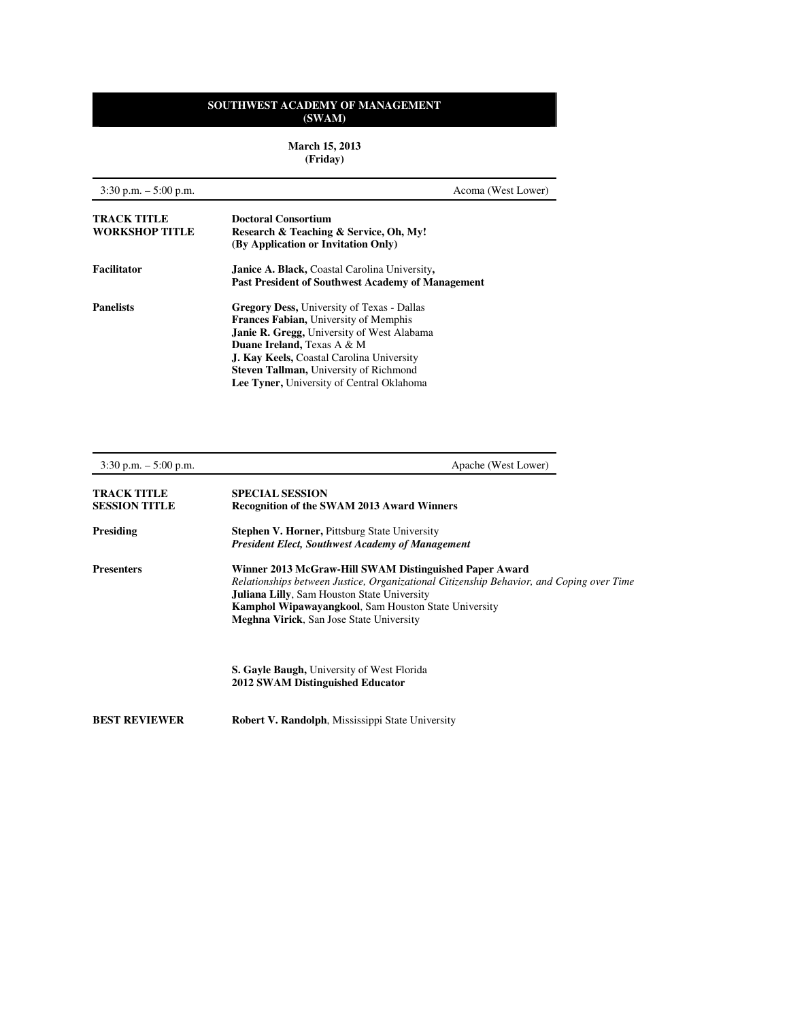**March 15, 2013 (Friday)** 

| $3:30$ p.m. $-5:00$ p.m.                    | Acoma (West Lower)                                                                                                                                                                                                                                                                                                                                |
|---------------------------------------------|---------------------------------------------------------------------------------------------------------------------------------------------------------------------------------------------------------------------------------------------------------------------------------------------------------------------------------------------------|
| <b>TRACK TITLE</b><br><b>WORKSHOP TITLE</b> | Doctoral Consortium<br>Research & Teaching & Service, Oh, My!<br>(By Application or Invitation Only)                                                                                                                                                                                                                                              |
| <b>Facilitator</b>                          | <b>Janice A. Black, Coastal Carolina University,</b><br><b>Past President of Southwest Academy of Management</b>                                                                                                                                                                                                                                  |
| <b>Panelists</b>                            | <b>Gregory Dess, University of Texas - Dallas</b><br><b>Frances Fabian, University of Memphis</b><br><b>Janie R. Gregg, University of West Alabama</b><br><b>Duane Ireland, Texas A &amp; M</b><br><b>J. Kay Keels, Coastal Carolina University</b><br><b>Steven Tallman, University of Richmond</b><br>Lee Tyner, University of Central Oklahoma |

| $3:30$ p.m. $-5:00$ p.m.                   | Apache (West Lower)                                                                                                                                                                                                                                                                                                 |
|--------------------------------------------|---------------------------------------------------------------------------------------------------------------------------------------------------------------------------------------------------------------------------------------------------------------------------------------------------------------------|
| <b>TRACK TITLE</b><br><b>SESSION TITLE</b> | <b>SPECIAL SESSION</b><br><b>Recognition of the SWAM 2013 Award Winners</b>                                                                                                                                                                                                                                         |
| <b>Presiding</b>                           | <b>Stephen V. Horner, Pittsburg State University</b><br><b>President Elect, Southwest Academy of Management</b>                                                                                                                                                                                                     |
| <b>Presenters</b>                          | Winner 2013 McGraw-Hill SWAM Distinguished Paper Award<br>Relationships between Justice, Organizational Citizenship Behavior, and Coping over Time<br><b>Juliana Lilly, Sam Houston State University</b><br>Kamphol Wipawayangkool, Sam Houston State University<br><b>Meghna Virick, San Jose State University</b> |
|                                            | <b>S. Gayle Baugh, University of West Florida</b><br>2012 SWAM Distinguished Educator                                                                                                                                                                                                                               |
| <b>BEST REVIEWER</b>                       | <b>Robert V. Randolph, Mississippi State University</b>                                                                                                                                                                                                                                                             |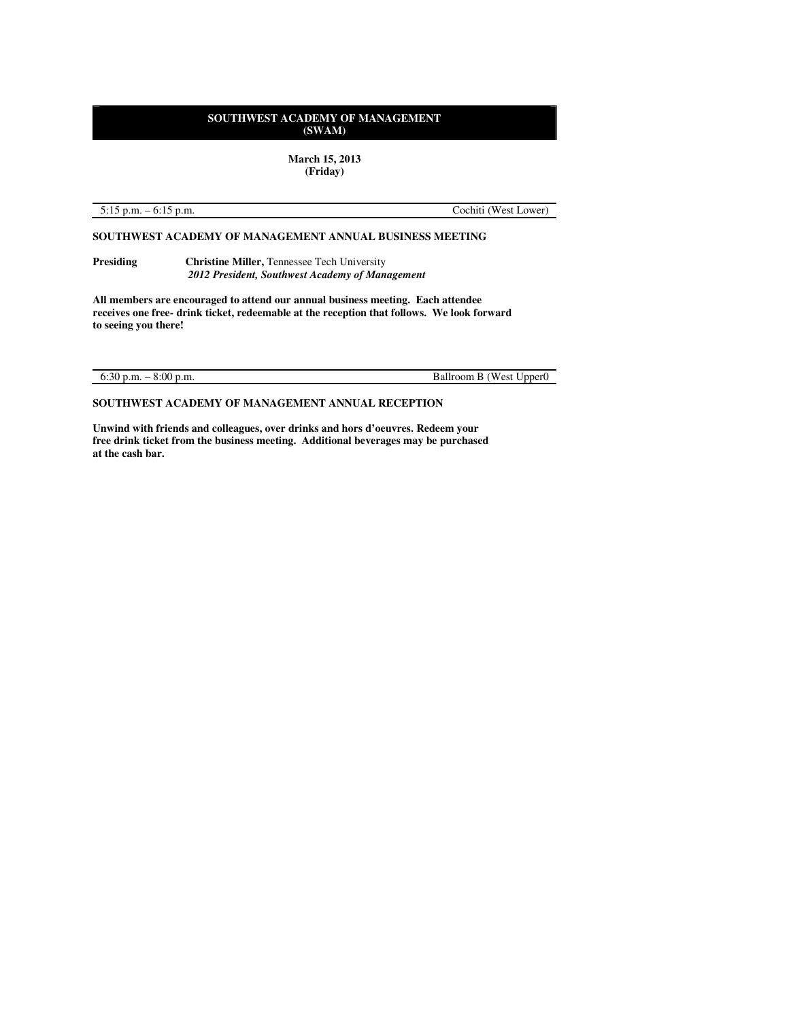**March 15, 2013 (Friday)** 

5:15 p.m. – 6:15 p.m. Cochiti (West Lower)

**SOUTHWEST ACADEMY OF MANAGEMENT ANNUAL BUSINESS MEETING** 

**Presiding Christine Miller, Tennessee Tech University**  *2012 President, Southwest Academy of Management*

**All members are encouraged to attend our annual business meeting. Each attendee receives one free- drink ticket, redeemable at the reception that follows. We look forward to seeing you there!** 

6:30 p.m. – 8:00 p.m. Ballroom B (West Upper0

**SOUTHWEST ACADEMY OF MANAGEMENT ANNUAL RECEPTION** 

**Unwind with friends and colleagues, over drinks and hors d'oeuvres. Redeem your free drink ticket from the business meeting. Additional beverages may be purchased at the cash bar.**